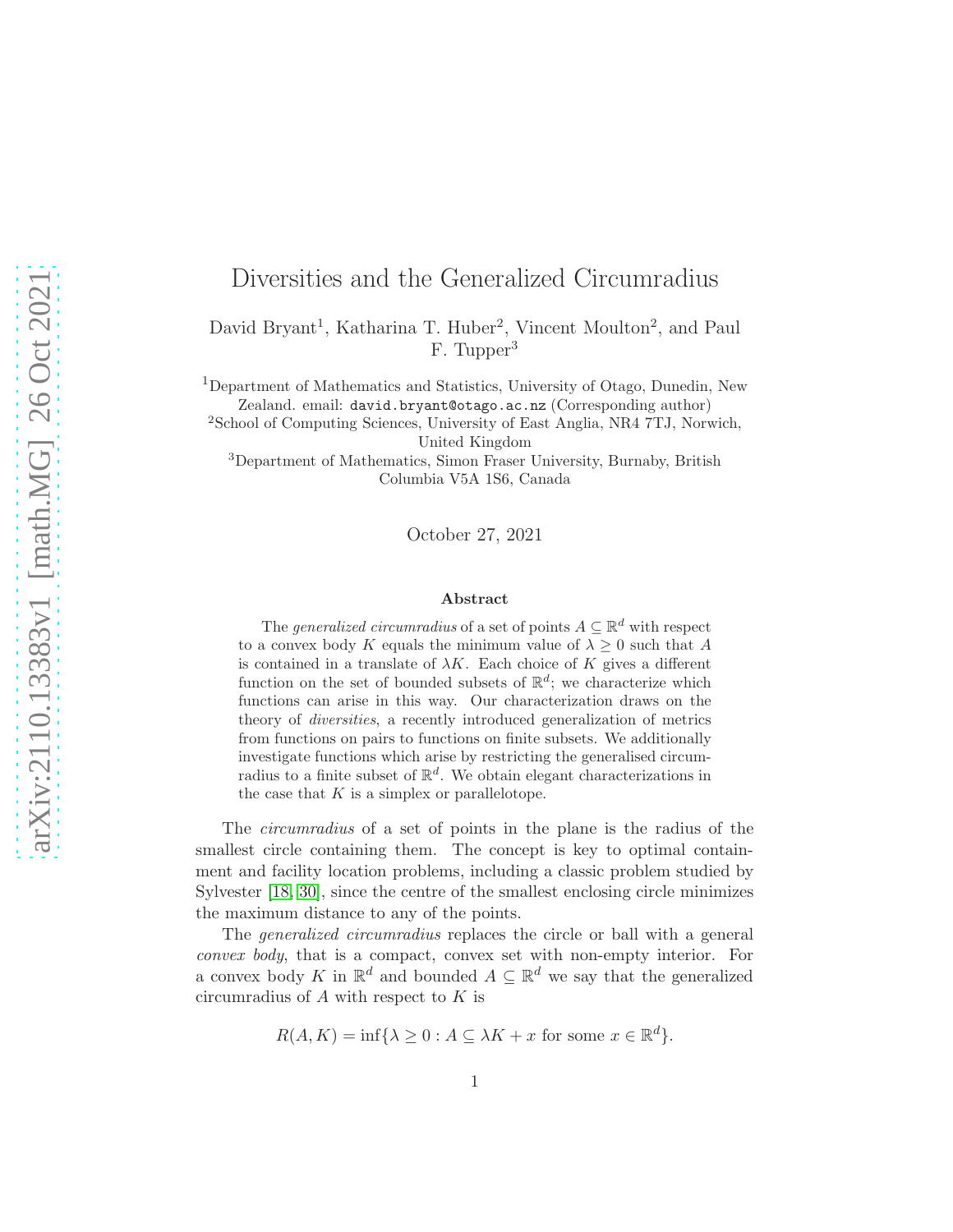# Diversities and the Generalized Circumradius

David Bryant<sup>1</sup>, Katharina T. Huber<sup>2</sup>, Vincent Moulton<sup>2</sup>, and Paul F. Tupper<sup>3</sup>

<sup>1</sup>Department of Mathematics and Statistics, University of Otago, Dunedin, New Zealand. email: david.bryant@otago.ac.nz (Corresponding author)

<sup>2</sup>School of Computing Sciences, University of East Anglia, NR4 7TJ, Norwich, United Kingdom

<sup>3</sup>Department of Mathematics, Simon Fraser University, Burnaby, British Columbia V5A 1S6, Canada

October 27, 2021

#### Abstract

The *generalized circumradius* of a set of points  $A \subseteq \mathbb{R}^d$  with respect to a convex body K equals the minimum value of  $\lambda \geq 0$  such that A is contained in a translate of  $\lambda K$ . Each choice of K gives a different function on the set of bounded subsets of  $\mathbb{R}^d$ ; we characterize which functions can arise in this way. Our characterization draws on the theory of diversities, a recently introduced generalization of metrics from functions on pairs to functions on finite subsets. We additionally investigate functions which arise by restricting the generalised circumradius to a finite subset of  $\mathbb{R}^d$ . We obtain elegant characterizations in the case that  $K$  is a simplex or parallelotope.

The circumradius of a set of points in the plane is the radius of the smallest circle containing them. The concept is key to optimal containment and facility location problems, including a classic problem studied by Sylvester [\[18,](#page-20-0) [30\]](#page-21-0), since the centre of the smallest enclosing circle minimizes the maximum distance to any of the points.

The *generalized circumradius* replaces the circle or ball with a general convex body, that is a compact, convex set with non-empty interior. For a convex body K in  $\mathbb{R}^d$  and bounded  $A \subseteq \mathbb{R}^d$  we say that the generalized circumradius of  $A$  with respect to  $K$  is

 $R(A, K) = \inf \{ \lambda \geq 0 : A \subseteq \lambda K + x \text{ for some } x \in \mathbb{R}^d \}.$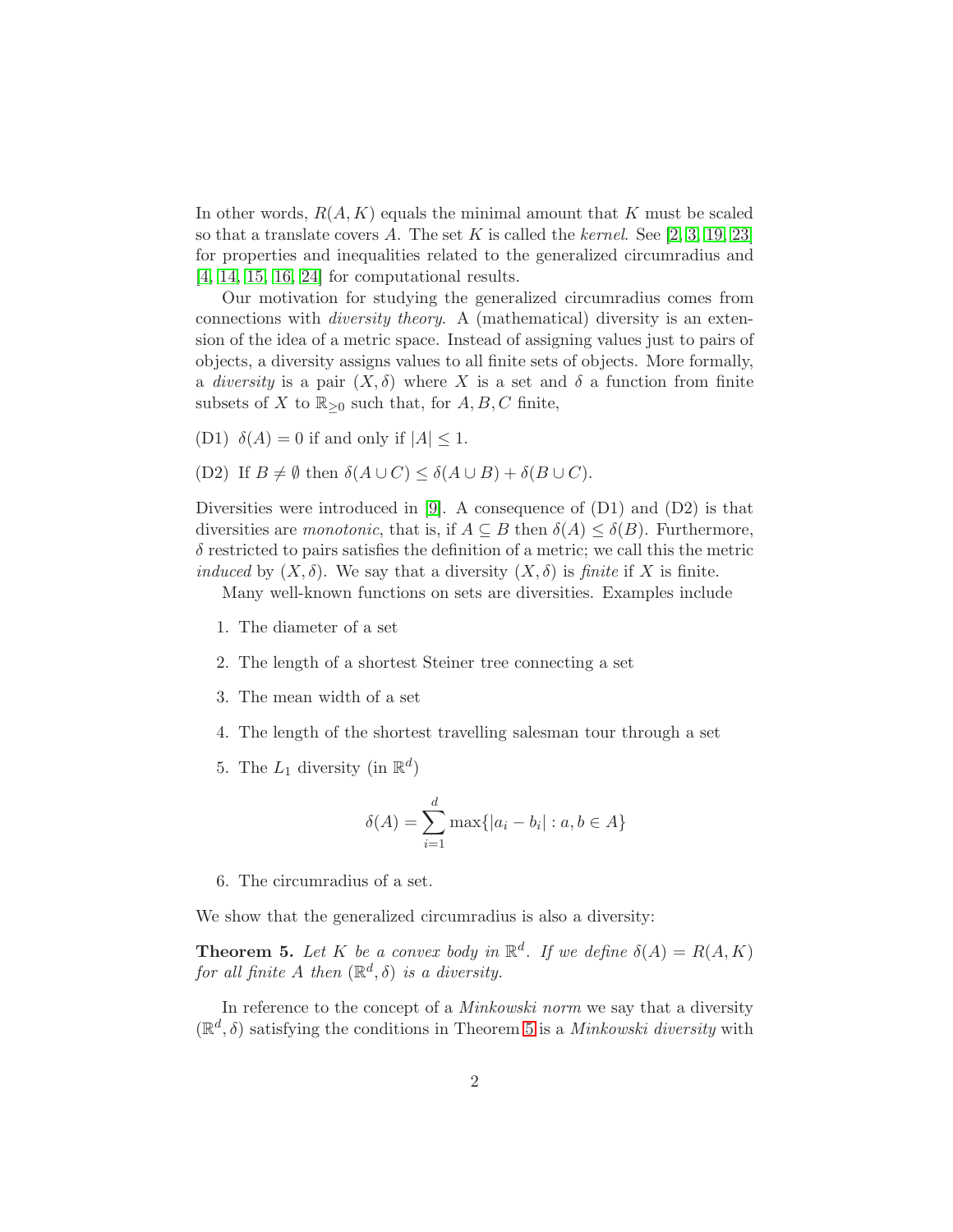In other words,  $R(A, K)$  equals the minimal amount that K must be scaled so that a translate covers A. The set K is called the kernel. See  $[2, 3, 19, 23]$  $[2, 3, 19, 23]$  $[2, 3, 19, 23]$  $[2, 3, 19, 23]$ for properties and inequalities related to the generalized circumradius and [\[4,](#page-19-2) [14,](#page-20-2) [15,](#page-20-3) [16,](#page-20-4) [24\]](#page-21-2) for computational results.

Our motivation for studying the generalized circumradius comes from connections with diversity theory. A (mathematical) diversity is an extension of the idea of a metric space. Instead of assigning values just to pairs of objects, a diversity assigns values to all finite sets of objects. More formally, a diversity is a pair  $(X, \delta)$  where X is a set and  $\delta$  a function from finite subsets of X to  $\mathbb{R}_{\geq 0}$  such that, for  $A, B, C$  finite,

- (D1)  $\delta(A) = 0$  if and only if  $|A| \leq 1$ .
- (D2) If  $B \neq \emptyset$  then  $\delta(A \cup C) \leq \delta(A \cup B) + \delta(B \cup C)$ .

Diversities were introduced in [\[9\]](#page-20-5). A consequence of  $(D1)$  and  $(D2)$  is that diversities are monotonic, that is, if  $A \subseteq B$  then  $\delta(A) \leq \delta(B)$ . Furthermore,  $\delta$  restricted to pairs satisfies the definition of a metric; we call this the metric induced by  $(X, \delta)$ . We say that a diversity  $(X, \delta)$  is finite if X is finite.

Many well-known functions on sets are diversities. Examples include

- 1. The diameter of a set
- 2. The length of a shortest Steiner tree connecting a set
- 3. The mean width of a set
- 4. The length of the shortest travelling salesman tour through a set
- 5. The  $L_1$  diversity (in  $\mathbb{R}^d$ )

$$
\delta(A) = \sum_{i=1}^{d} \max\{|a_i - b_i| : a, b \in A\}
$$

6. The circumradius of a set.

We show that the generalized circumradius is also a diversity:

**Theorem 5.** Let K be a convex body in  $\mathbb{R}^d$ . If we define  $\delta(A) = R(A, K)$ for all finite A then  $(\mathbb{R}^d, \delta)$  is a diversity.

In reference to the concept of a *Minkowski norm* we say that a diversity  $(\mathbb{R}^d, \delta)$  satisfying the conditions in Theorem [5](#page-6-0) is a *Minkowski diversity* with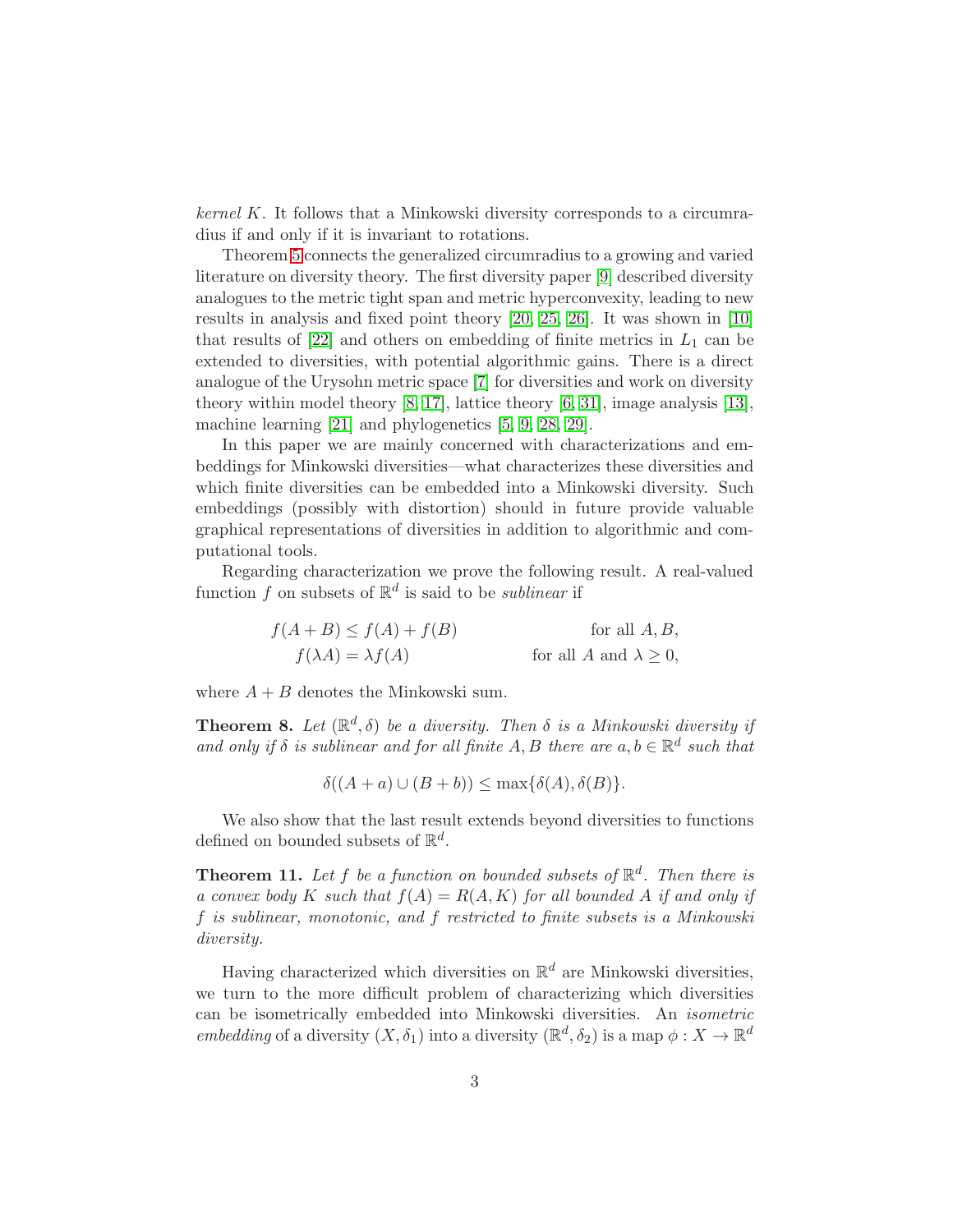$kernel K$ . It follows that a Minkowski diversity corresponds to a circumradius if and only if it is invariant to rotations.

Theorem [5](#page-6-0) connects the generalized circumradius to a growing and varied literature on diversity theory. The first diversity paper [\[9\]](#page-20-5) described diversity analogues to the metric tight span and metric hyperconvexity, leading to new results in analysis and fixed point theory [\[20,](#page-21-3) [25,](#page-21-4) [26\]](#page-21-5). It was shown in [\[10\]](#page-20-6) that results of  $[22]$  and others on embedding of finite metrics in  $L_1$  can be extended to diversities, with potential algorithmic gains. There is a direct analogue of the Urysohn metric space [\[7\]](#page-20-7) for diversities and work on diversity theory within model theory [\[8,](#page-20-8) [17\]](#page-20-9), lattice theory [\[6,](#page-19-3) [31\]](#page-21-7), image analysis [\[13\]](#page-20-10), machine learning [\[21\]](#page-21-8) and phylogenetics [\[5,](#page-19-4) [9,](#page-20-5) [28,](#page-21-9) [29\]](#page-21-10).

In this paper we are mainly concerned with characterizations and embeddings for Minkowski diversities—what characterizes these diversities and which finite diversities can be embedded into a Minkowski diversity. Such embeddings (possibly with distortion) should in future provide valuable graphical representations of diversities in addition to algorithmic and computational tools.

Regarding characterization we prove the following result. A real-valued function f on subsets of  $\mathbb{R}^d$  is said to be *sublinear* if

$$
f(A + B) \le f(A) + f(B)
$$
 for all A, B,  

$$
f(\lambda A) = \lambda f(A)
$$
 for all A and  $\lambda \ge 0$ ,

where  $A + B$  denotes the Minkowski sum.

**Theorem 8.** Let  $(\mathbb{R}^d, \delta)$  be a diversity. Then  $\delta$  is a Minkowski diversity if and only if  $\delta$  is sublinear and for all finite A, B there are  $a, b \in \mathbb{R}^d$  such that

 $\delta((A+a)\cup (B+b)) \leq \max\{\delta(A),\delta(B)\}.$ 

We also show that the last result extends beyond diversities to functions defined on bounded subsets of  $\mathbb{R}^d$ .

**Theorem 11.** Let f be a function on bounded subsets of  $\mathbb{R}^d$ . Then there is a convex body K such that  $f(A) = R(A, K)$  for all bounded A if and only if f is sublinear, monotonic, and f restricted to finite subsets is a Minkowski diversity.

Having characterized which diversities on  $\mathbb{R}^d$  are Minkowski diversities, we turn to the more difficult problem of characterizing which diversities can be isometrically embedded into Minkowski diversities. An isometric embedding of a diversity  $(X, \delta_1)$  into a diversity  $(\mathbb{R}^d, \delta_2)$  is a map  $\phi: X \to \mathbb{R}^d$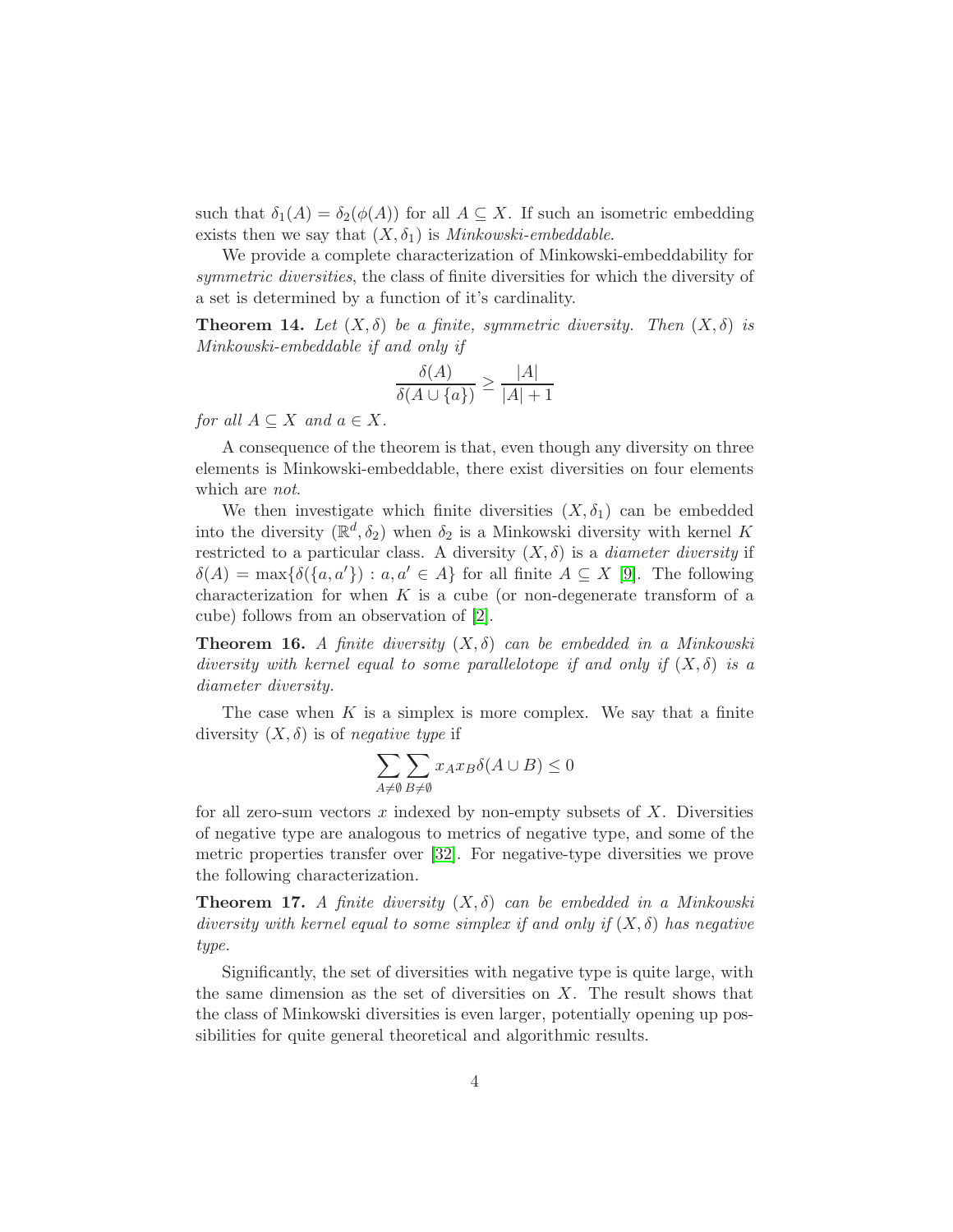such that  $\delta_1(A) = \delta_2(\phi(A))$  for all  $A \subseteq X$ . If such an isometric embedding exists then we say that  $(X, \delta_1)$  is *Minkowski-embeddable.* 

We provide a complete characterization of Minkowski-embeddability for symmetric diversities, the class of finite diversities for which the diversity of a set is determined by a function of it's cardinality.

**Theorem 14.** Let  $(X, \delta)$  be a finite, symmetric diversity. Then  $(X, \delta)$  is Minkowski-embeddable if and only if

$$
\frac{\delta(A)}{\delta(A \cup \{a\})} \ge \frac{|A|}{|A|+1}
$$

for all  $A \subseteq X$  and  $a \in X$ .

A consequence of the theorem is that, even though any diversity on three elements is Minkowski-embeddable, there exist diversities on four elements which are *not*.

We then investigate which finite diversities  $(X, \delta_1)$  can be embedded into the diversity  $(\mathbb{R}^d, \delta_2)$  when  $\delta_2$  is a Minkowski diversity with kernel K restricted to a particular class. A diversity  $(X, \delta)$  is a *diameter diversity* if  $\delta(A) = \max{\delta(\{a, a'\}) : a, a' \in A\}$  for all finite  $A \subseteq X$  [\[9\]](#page-20-5). The following characterization for when  $K$  is a cube (or non-degenerate transform of a cube) follows from an observation of [\[2\]](#page-19-0).

**Theorem 16.** A finite diversity  $(X, \delta)$  can be embedded in a Minkowski diversity with kernel equal to some parallelotope if and only if  $(X, \delta)$  is a diameter diversity.

The case when  $K$  is a simplex is more complex. We say that a finite diversity  $(X, \delta)$  is of negative type if

$$
\sum_{A\neq\emptyset}\sum_{B\neq\emptyset}x_Ax_B\delta(A\cup B)\leq 0
$$

for all zero-sum vectors  $x$  indexed by non-empty subsets of  $X$ . Diversities of negative type are analogous to metrics of negative type, and some of the metric properties transfer over [\[32\]](#page-22-0). For negative-type diversities we prove the following characterization.

**Theorem 17.** A finite diversity  $(X, \delta)$  can be embedded in a Minkowski diversity with kernel equal to some simplex if and only if  $(X, \delta)$  has negative type.

Significantly, the set of diversities with negative type is quite large, with the same dimension as the set of diversities on  $X$ . The result shows that the class of Minkowski diversities is even larger, potentially opening up possibilities for quite general theoretical and algorithmic results.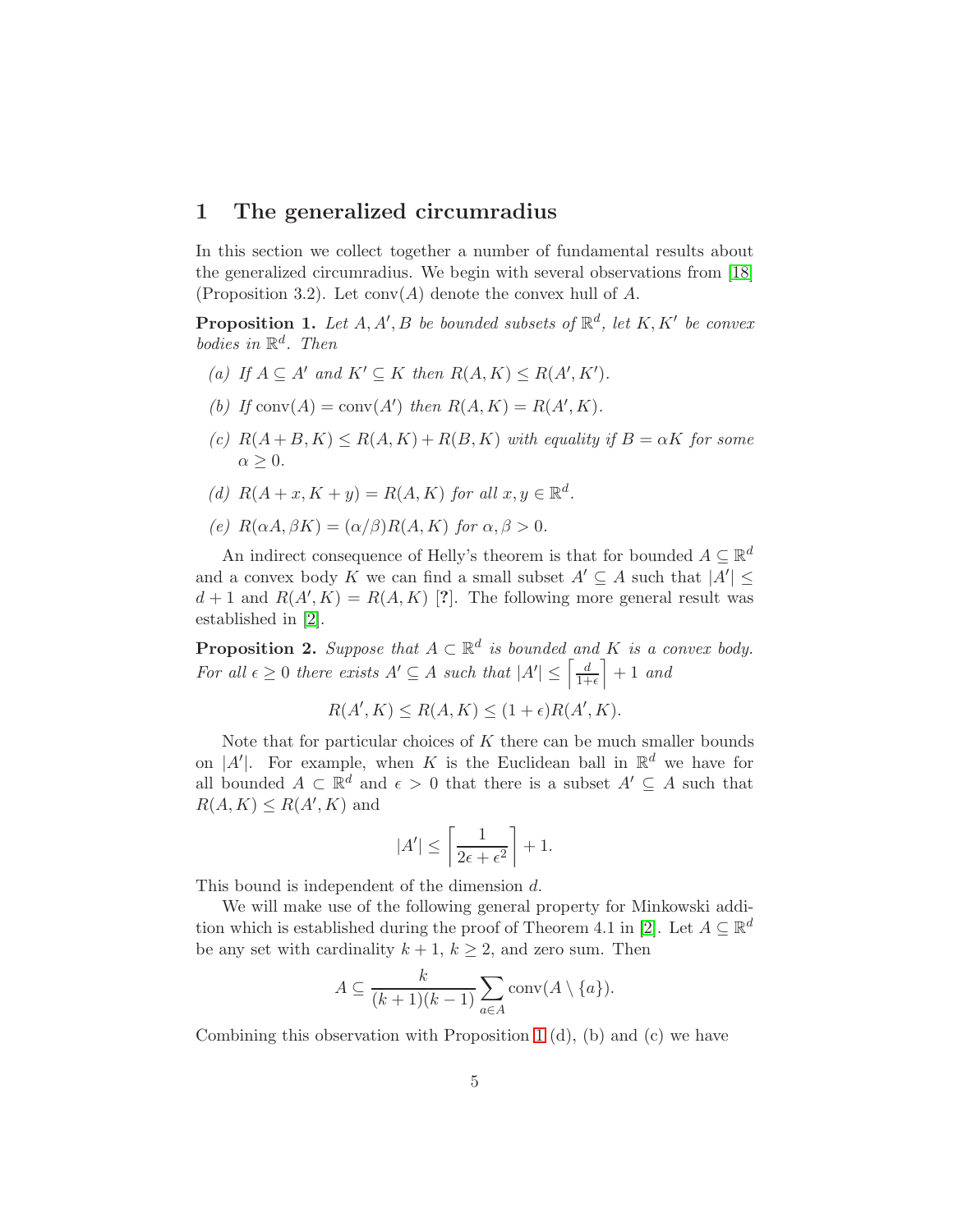# 1 The generalized circumradius

In this section we collect together a number of fundamental results about the generalized circumradius. We begin with several observations from [\[18\]](#page-20-0) (Proposition 3.2). Let  $conv(A)$  denote the convex hull of A.

<span id="page-4-0"></span>**Proposition 1.** Let  $A, A', B$  be bounded subsets of  $\mathbb{R}^d$ , let  $K, K'$  be convex bodies in  $\mathbb{R}^d$ . Then

- (a) If  $A \subseteq A'$  and  $K' \subseteq K$  then  $R(A, K) \leq R(A', K')$ .
- (b) If conv(A) = conv(A') then  $R(A, K) = R(A', K)$ .
- (c)  $R(A+B, K) \leq R(A, K) + R(B, K)$  with equality if  $B = \alpha K$  for some  $\alpha \geq 0$ .
- (d)  $R(A+x, K+y) = R(A, K)$  for all  $x, y \in \mathbb{R}^d$ .
- (e)  $R(\alpha A, \beta K) = (\alpha/\beta)R(A, K)$  for  $\alpha, \beta > 0$ .

An indirect consequence of Helly's theorem is that for bounded  $A \subseteq \mathbb{R}^d$ and a convex body K we can find a small subset  $A' \subseteq A$  such that  $|A'| \leq$  $d+1$  and  $R(A', K) = R(A, K)$  [?]. The following more general result was established in [\[2\]](#page-19-0).

<span id="page-4-1"></span>**Proposition 2.** Suppose that  $A \subset \mathbb{R}^d$  is bounded and K is a convex body. For all  $\epsilon \geq 0$  there exists  $A' \subseteq A$  such that  $|A'| \leq \left[\frac{d}{1+\epsilon}\right]$  $\frac{d}{1+\epsilon}$  + 1 and

$$
R(A', K) \le R(A, K) \le (1 + \epsilon)R(A', K).
$$

Note that for particular choices of  $K$  there can be much smaller bounds on |A'|. For example, when K is the Euclidean ball in  $\mathbb{R}^d$  we have for all bounded  $A \subset \mathbb{R}^d$  and  $\epsilon > 0$  that there is a subset  $A' \subseteq A$  such that  $R(A, K) \leq R(A', K)$  and

$$
|A'| \le \left\lceil \frac{1}{2\epsilon + \epsilon^2} \right\rceil + 1.
$$

This bound is independent of the dimension d.

We will make use of the following general property for Minkowski addi-tion which is established during the proof of Theorem 4.1 in [\[2\]](#page-19-0). Let  $A \subseteq \mathbb{R}^d$ be any set with cardinality  $k + 1$ ,  $k \ge 2$ , and zero sum. Then

$$
A \subseteq \frac{k}{(k+1)(k-1)} \sum_{a \in A} \text{conv}(A \setminus \{a\}).
$$

Combining this observation with Proposition [1](#page-4-0)  $(d)$ ,  $(b)$  and  $(c)$  we have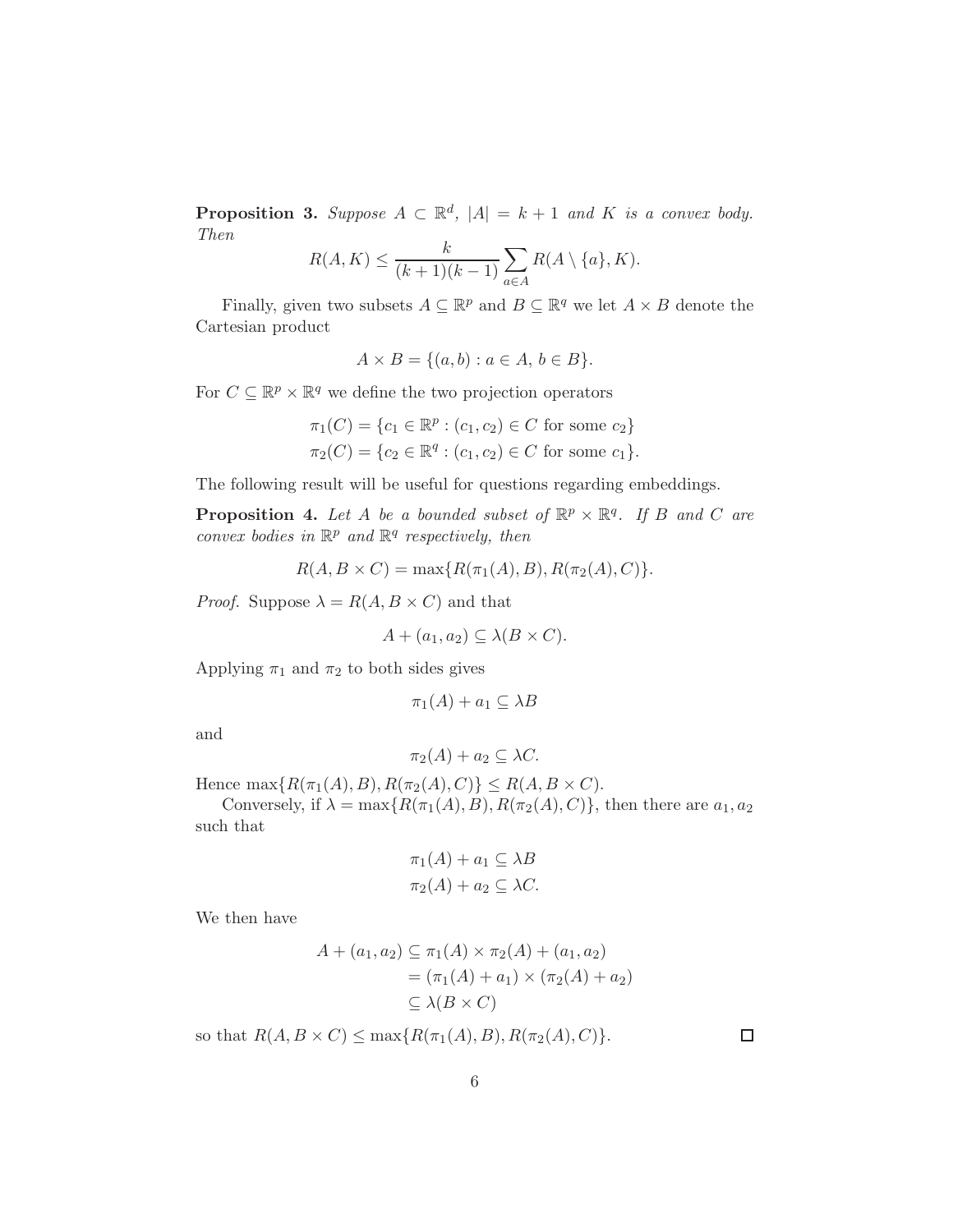<span id="page-5-1"></span>**Proposition 3.** Suppose  $A \subset \mathbb{R}^d$ ,  $|A| = k + 1$  and K is a convex body. Then

$$
R(A, K) \le \frac{k}{(k+1)(k-1)} \sum_{a \in A} R(A \setminus \{a\}, K).
$$

Finally, given two subsets  $A \subseteq \mathbb{R}^p$  and  $B \subseteq \mathbb{R}^q$  we let  $A \times B$  denote the Cartesian product

$$
A \times B = \{(a, b) : a \in A, b \in B\}.
$$

For  $C \subseteq \mathbb{R}^p \times \mathbb{R}^q$  we define the two projection operators

$$
\pi_1(C) = \{c_1 \in \mathbb{R}^p : (c_1, c_2) \in C \text{ for some } c_2\}
$$
  

$$
\pi_2(C) = \{c_2 \in \mathbb{R}^q : (c_1, c_2) \in C \text{ for some } c_1\}.
$$

The following result will be useful for questions regarding embeddings.

<span id="page-5-0"></span>**Proposition 4.** Let A be a bounded subset of  $\mathbb{R}^p \times \mathbb{R}^q$ . If B and C are convex bodies in  $\mathbb{R}^p$  and  $\mathbb{R}^q$  respectively, then

$$
R(A, B \times C) = \max\{R(\pi_1(A), B), R(\pi_2(A), C)\}.
$$

*Proof.* Suppose  $\lambda = R(A, B \times C)$  and that

$$
A + (a_1, a_2) \subseteq \lambda(B \times C).
$$

Applying  $\pi_1$  and  $\pi_2$  to both sides gives

$$
\pi_1(A) + a_1 \subseteq \lambda B
$$

and

$$
\pi_2(A) + a_2 \subseteq \lambda C.
$$

Hence  $\max\{R(\pi_1(A), B), R(\pi_2(A), C)\} \le R(A, B \times C)$ .

Conversely, if  $\lambda = \max\{R(\pi_1(A), B), R(\pi_2(A), C)\}\$ , then there are  $a_1, a_2$ such that

$$
\pi_1(A) + a_1 \subseteq \lambda B
$$
  

$$
\pi_2(A) + a_2 \subseteq \lambda C.
$$

We then have

$$
A + (a_1, a_2) \subseteq \pi_1(A) \times \pi_2(A) + (a_1, a_2)
$$
  
= 
$$
(\pi_1(A) + a_1) \times (\pi_2(A) + a_2)
$$
  

$$
\subseteq \lambda(B \times C)
$$

so that  $R(A, B \times C) \le \max\{R(\pi_1(A), B), R(\pi_2(A), C)\}.$ 

 $\Box$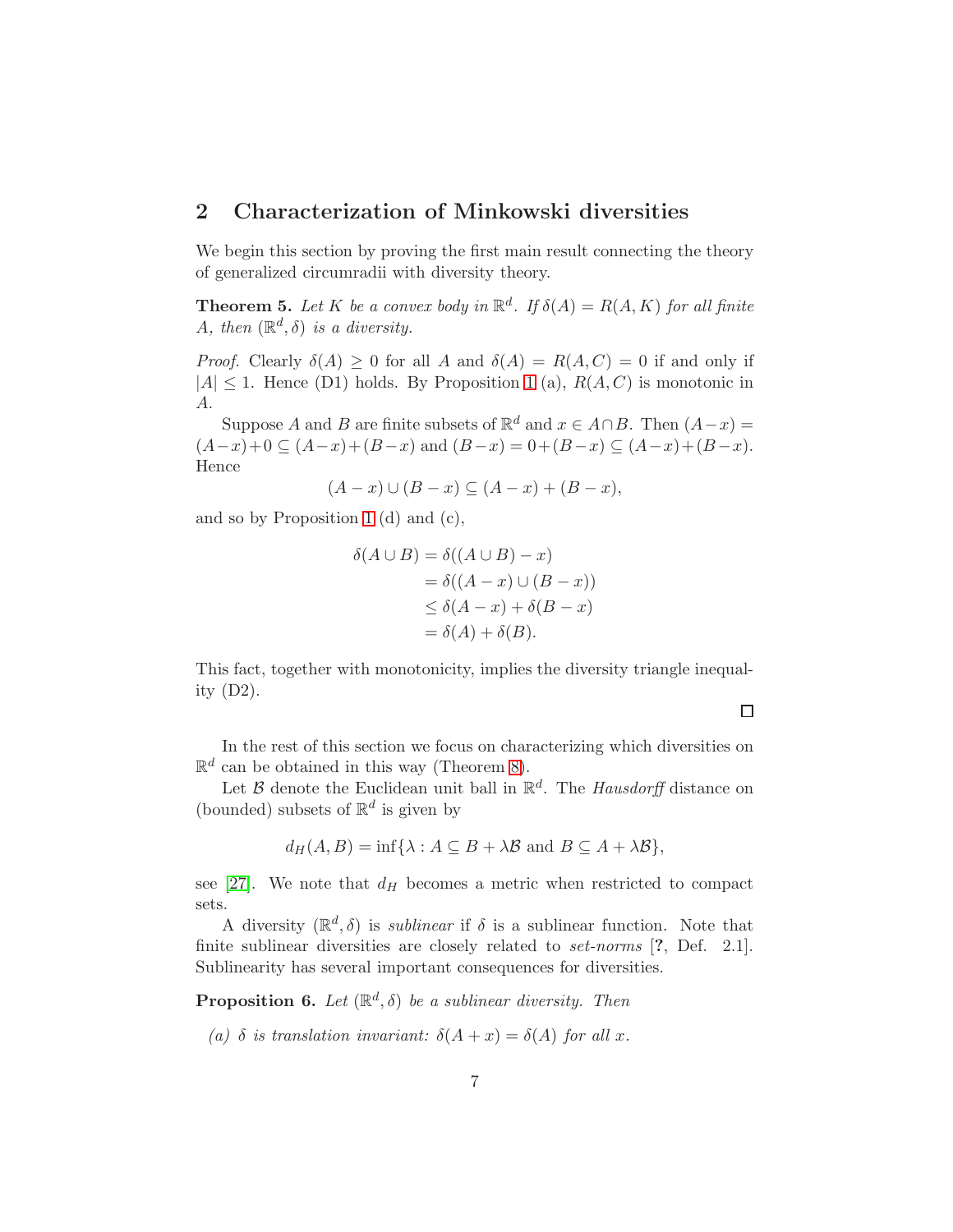# 2 Characterization of Minkowski diversities

We begin this section by proving the first main result connecting the theory of generalized circumradii with diversity theory.

<span id="page-6-0"></span>**Theorem 5.** Let K be a convex body in  $\mathbb{R}^d$ . If  $\delta(A) = R(A, K)$  for all finite A, then  $(\mathbb{R}^d, \delta)$  is a diversity.

*Proof.* Clearly  $\delta(A) \geq 0$  for all A and  $\delta(A) = R(A, C) = 0$  if and only if  $|A| \leq 1$  $|A| \leq 1$ . Hence (D1) holds. By Proposition 1 (a),  $R(A, C)$  is monotonic in A.

Suppose A and B are finite subsets of  $\mathbb{R}^d$  and  $x \in A \cap B$ . Then  $(A-x) =$  $(A-x)+0 \subseteq (A-x)+(B-x)$  and  $(B-x)=0+(B-x) \subseteq (A-x)+(B-x)$ . Hence

$$
(A-x)\cup (B-x)\subseteq (A-x)+(B-x),
$$

and so by Proposition [1](#page-4-0) (d) and (c),

$$
\delta(A \cup B) = \delta((A \cup B) - x)
$$
  
=  $\delta((A - x) \cup (B - x))$   
 $\leq \delta(A - x) + \delta(B - x)$   
=  $\delta(A) + \delta(B)$ .

This fact, together with monotonicity, implies the diversity triangle inequality (D2).

 $\Box$ 

In the rest of this section we focus on characterizing which diversities on  $\mathbb{R}^d$  can be obtained in this way (Theorem [8\)](#page-8-0).

Let  $\mathcal B$  denote the Euclidean unit ball in  $\mathbb R^d$ . The *Hausdorff* distance on (bounded) subsets of  $\mathbb{R}^d$  is given by

$$
d_H(A, B) = \inf \{ \lambda : A \subseteq B + \lambda B \text{ and } B \subseteq A + \lambda B \},
$$

see [\[27\]](#page-21-11). We note that  $d_H$  becomes a metric when restricted to compact sets.

A diversity  $(\mathbb{R}^d, \delta)$  is *sublinear* if  $\delta$  is a sublinear function. Note that finite sublinear diversities are closely related to *set-norms* [?, Def. 2.1]. Sublinearity has several important consequences for diversities.

<span id="page-6-1"></span>**Proposition 6.** Let  $(\mathbb{R}^d, \delta)$  be a sublinear diversity. Then

(a)  $\delta$  is translation invariant:  $\delta(A+x) = \delta(A)$  for all x.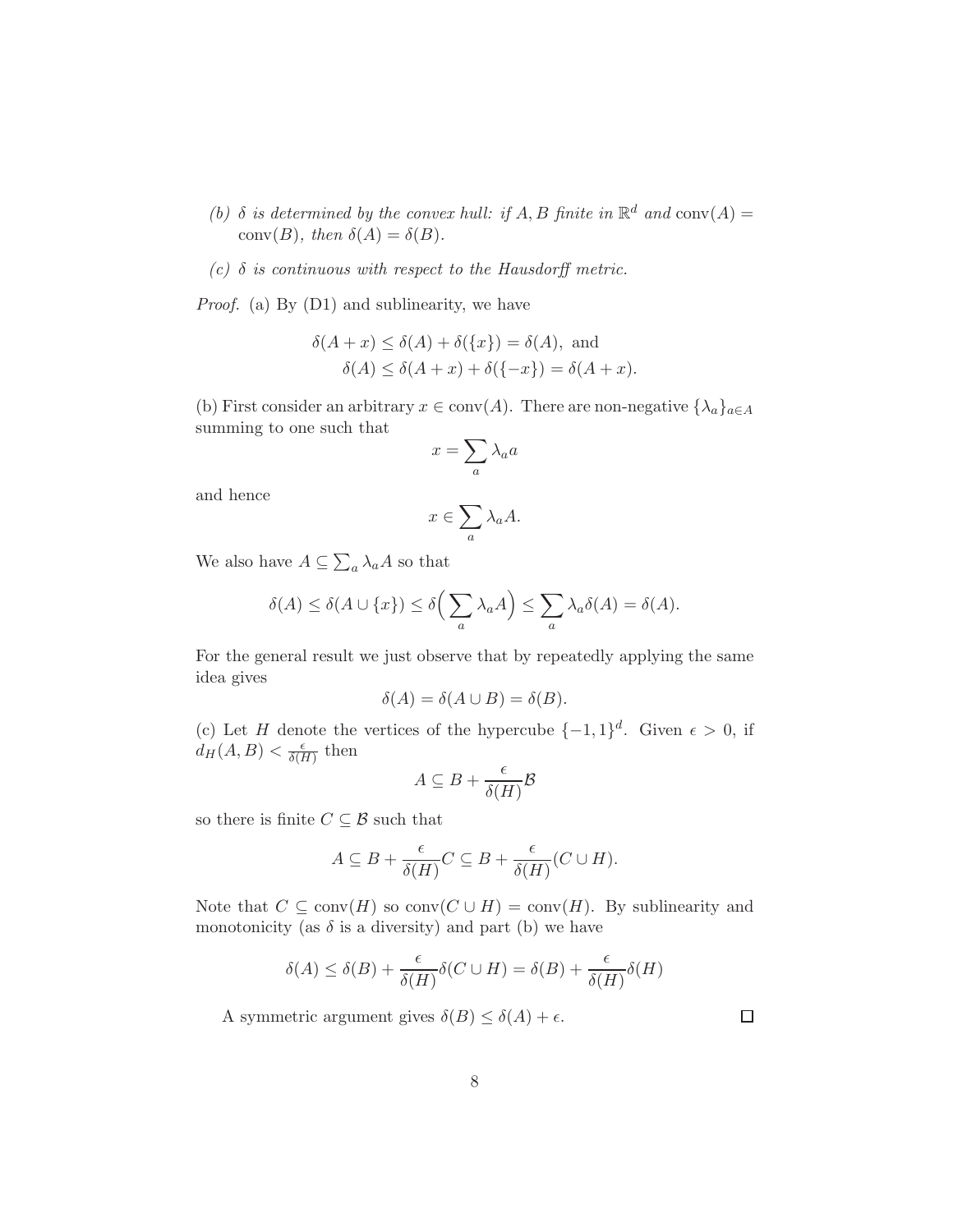- (b)  $\delta$  is determined by the convex hull: if A, B finite in  $\mathbb{R}^d$  and  $\text{conv}(A) =$ conv(B), then  $\delta(A) = \delta(B)$ .
- (c)  $\delta$  is continuous with respect to the Hausdorff metric.

Proof. (a) By (D1) and sublinearity, we have

$$
\delta(A + x) \le \delta(A) + \delta({x}) = \delta(A), \text{ and}
$$

$$
\delta(A) \le \delta(A + x) + \delta({-x}) = \delta(A + x).
$$

(b) First consider an arbitrary  $x \in \text{conv}(A)$ . There are non-negative  $\{\lambda_a\}_{a \in A}$ summing to one such that

$$
x=\sum_a \lambda_a a
$$

and hence

$$
x \in \sum_a \lambda_a A.
$$

We also have  $A \subseteq \sum_a \lambda_a A$  so that

$$
\delta(A) \le \delta(A \cup \{x\}) \le \delta\left(\sum_{a} \lambda_a A\right) \le \sum_{a} \lambda_a \delta(A) = \delta(A).
$$

For the general result we just observe that by repeatedly applying the same idea gives

$$
\delta(A) = \delta(A \cup B) = \delta(B).
$$

(c) Let H denote the vertices of the hypercube  $\{-1,1\}^d$ . Given  $\epsilon > 0$ , if  $d_H(A, B) < \frac{\epsilon}{\delta(B)}$  $\frac{\epsilon}{\delta(H)}$  then

$$
A \subseteq B + \frac{\epsilon}{\delta(H)} \mathcal{B}
$$

so there is finite  $C \subseteq \mathcal{B}$  such that

$$
A \subseteq B + \frac{\epsilon}{\delta(H)}C \subseteq B + \frac{\epsilon}{\delta(H)}(C \cup H).
$$

Note that  $C \subseteq \text{conv}(H)$  so  $\text{conv}(C \cup H) = \text{conv}(H)$ . By sublinearity and monotonicity (as  $\delta$  is a diversity) and part (b) we have

$$
\delta(A) \le \delta(B) + \frac{\epsilon}{\delta(H)}\delta(C \cup H) = \delta(B) + \frac{\epsilon}{\delta(H)}\delta(H)
$$

A symmetric argument gives  $\delta(B) \leq \delta(A) + \epsilon$ .

 $\Box$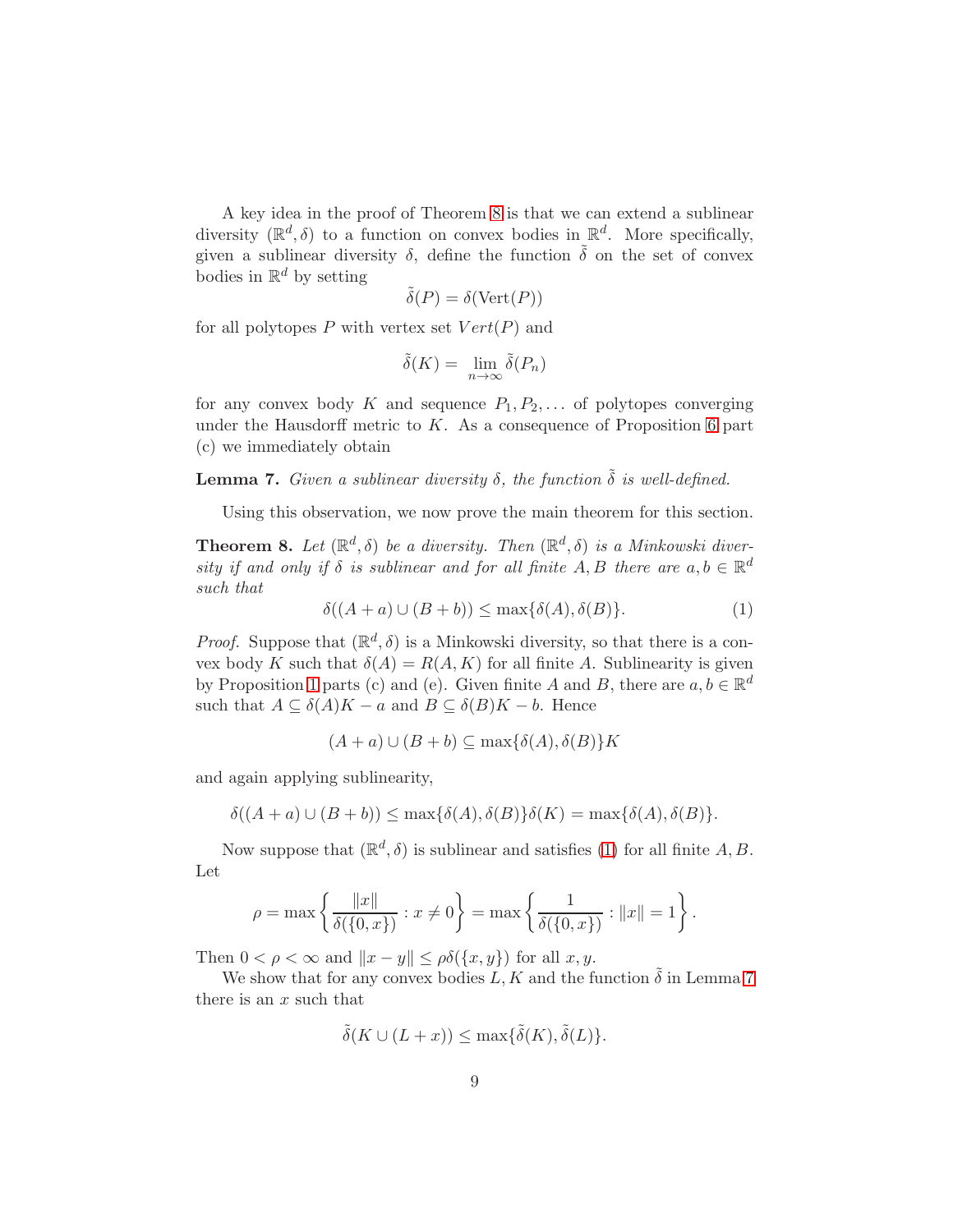A key idea in the proof of Theorem [8](#page-8-0) is that we can extend a sublinear diversity  $(\mathbb{R}^d, \delta)$  to a function on convex bodies in  $\mathbb{R}^d$ . More specifically, given a sublinear diversity  $\delta$ , define the function  $\tilde{\delta}$  on the set of convex bodies in  $\mathbb{R}^d$  by setting

$$
\tilde{\delta}(P) = \delta(\text{Vert}(P))
$$

for all polytopes P with vertex set  $Vert(P)$  and

$$
\tilde{\delta}(K) = \lim_{n \to \infty} \tilde{\delta}(P_n)
$$

for any convex body K and sequence  $P_1, P_2, \ldots$  of polytopes converging under the Hausdorff metric to  $K$ . As a consequence of Proposition [6](#page-6-1) part (c) we immediately obtain

<span id="page-8-2"></span>**Lemma 7.** Given a sublinear diversity  $\delta$ , the function  $\tilde{\delta}$  is well-defined.

Using this observation, we now prove the main theorem for this section.

<span id="page-8-0"></span>**Theorem 8.** Let  $(\mathbb{R}^d, \delta)$  be a diversity. Then  $(\mathbb{R}^d, \delta)$  is a Minkowski diversity if and only if  $\delta$  is sublinear and for all finite A, B there are  $a, b \in \mathbb{R}^d$ such that

<span id="page-8-1"></span>
$$
\delta((A+a)\cup(B+b)) \le \max\{\delta(A), \delta(B)\}.
$$
 (1)

*Proof.* Suppose that  $(\mathbb{R}^d, \delta)$  is a Minkowski diversity, so that there is a convex body K such that  $\delta(A) = R(A, K)$  for all finite A. Sublinearity is given by Proposition [1](#page-4-0) parts (c) and (e). Given finite A and B, there are  $a, b \in \mathbb{R}^d$ such that  $A \subseteq \delta(A)K - a$  and  $B \subseteq \delta(B)K - b$ . Hence

$$
(A + a) \cup (B + b) \subseteq \max\{\delta(A), \delta(B)\}K
$$

and again applying sublinearity,

$$
\delta((A+a)\cup(B+b)) \le \max\{\delta(A),\delta(B)\}\delta(K) = \max\{\delta(A),\delta(B)\}.
$$

Now suppose that  $(\mathbb{R}^d, \delta)$  is sublinear and satisfies [\(1\)](#page-8-1) for all finite A, B. Let

$$
\rho = \max \left\{ \frac{\|x\|}{\delta(\{0, x\})} : x \neq 0 \right\} = \max \left\{ \frac{1}{\delta(\{0, x\})} : \|x\| = 1 \right\}.
$$

Then  $0 < \rho < \infty$  and  $||x - y|| \leq \rho \delta({x, y})$  for all  $x, y$ .

We show that for any convex bodies L, K and the function  $\tilde{\delta}$  in Lemma [7](#page-8-2) there is an  $x$  such that

$$
\tilde{\delta}(K \cup (L+x)) \le \max{\{\tilde{\delta}(K), \tilde{\delta}(L)\}}.
$$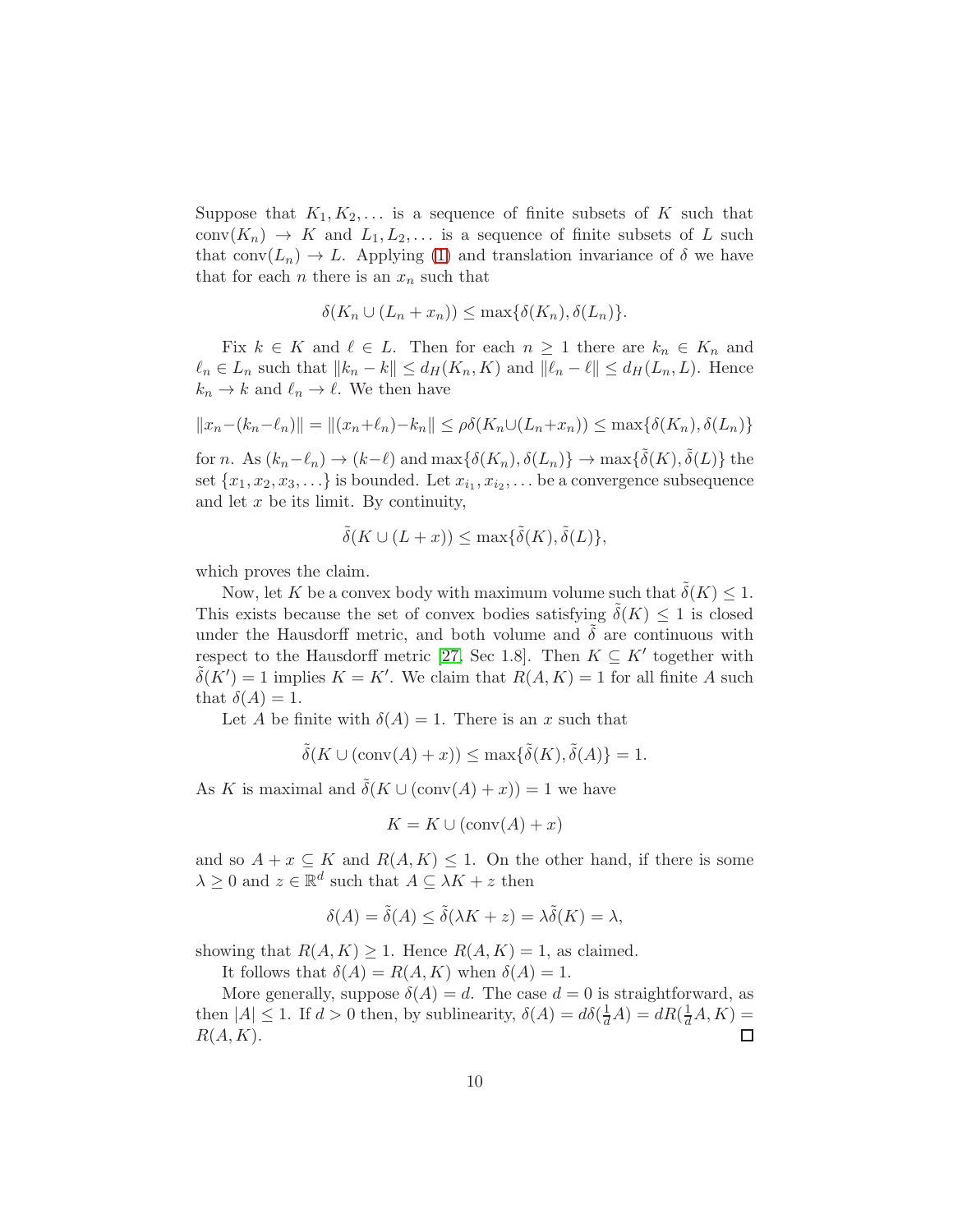Suppose that  $K_1, K_2, \ldots$  is a sequence of finite subsets of K such that conv $(K_n) \to K$  and  $L_1, L_2, \ldots$  is a sequence of finite subsets of L such that conv $(L_n) \to L$ . Applying [\(1\)](#page-8-1) and translation invariance of  $\delta$  we have that for each *n* there is an  $x_n$  such that

$$
\delta(K_n \cup (L_n + x_n)) \le \max\{\delta(K_n), \delta(L_n)\}.
$$

Fix  $k \in K$  and  $\ell \in L$ . Then for each  $n \geq 1$  there are  $k_n \in K_n$  and  $\ell_n \in L_n$  such that  $||k_n - k|| \le d_H(K_n, K)$  and  $||\ell_n - \ell|| \le d_H(L_n, L)$ . Hence  $k_n \to k$  and  $\ell_n \to \ell$ . We then have

$$
||x_n - (k_n - \ell_n)|| = ||(x_n + \ell_n) - k_n|| \le \rho \delta(K_n \cup (L_n + x_n)) \le \max{\{\delta(K_n), \delta(L_n)\}}
$$

for n. As  $(k_n - \ell_n) \to (k - \ell)$  and  $\max{\{\delta(K_n), \delta(L_n)\}} \to \max{\{\tilde{\delta}(K), \tilde{\delta}(L)\}}$  the set  $\{x_1, x_2, x_3, \ldots\}$  is bounded. Let  $x_{i_1}, x_{i_2}, \ldots$  be a convergence subsequence and let  $x$  be its limit. By continuity,

$$
\tilde{\delta}(K \cup (L+x)) \le \max{\{\tilde{\delta}(K), \tilde{\delta}(L)\}},
$$

which proves the claim.

Now, let K be a convex body with maximum volume such that  $\delta(K) \leq 1$ . This exists because the set of convex bodies satisfying  $\delta(K) \leq 1$  is closed under the Hausdorff metric, and both volume and  $\delta$  are continuous with respect to the Hausdorff metric [\[27,](#page-21-11) Sec 1.8]. Then  $K \subseteq K'$  together with  $\tilde{\delta}(K') = 1$  implies  $K = K'$ . We claim that  $R(A, K) = 1$  for all finite A such that  $\delta(A) = 1$ .

Let A be finite with  $\delta(A) = 1$ . There is an x such that

$$
\tilde{\delta}(K \cup (\text{conv}(A) + x)) \le \max\{\tilde{\delta}(K), \tilde{\delta}(A)\} = 1.
$$

As K is maximal and  $\delta(K \cup (\text{conv}(A) + x)) = 1$  we have

$$
K = K \cup (\text{conv}(A) + x)
$$

and so  $A + x \subseteq K$  and  $R(A, K) \leq 1$ . On the other hand, if there is some  $\lambda \geq 0$  and  $z \in \mathbb{R}^d$  such that  $A \subseteq \lambda K + z$  then

$$
\delta(A) = \tilde{\delta}(A) \le \tilde{\delta}(\lambda K + z) = \lambda \tilde{\delta}(K) = \lambda,
$$

showing that  $R(A, K) \geq 1$ . Hence  $R(A, K) = 1$ , as claimed.

It follows that  $\delta(A) = R(A, K)$  when  $\delta(A) = 1$ .

More generally, suppose  $\delta(A) = d$ . The case  $d = 0$  is straightforward, as then  $|A| \leq 1$ . If  $d > 0$  then, by sublinearity,  $\delta(A) = d\delta(\frac{1}{d}A) = dR(\frac{1}{d}A, K) =$  $R(A, K)$ .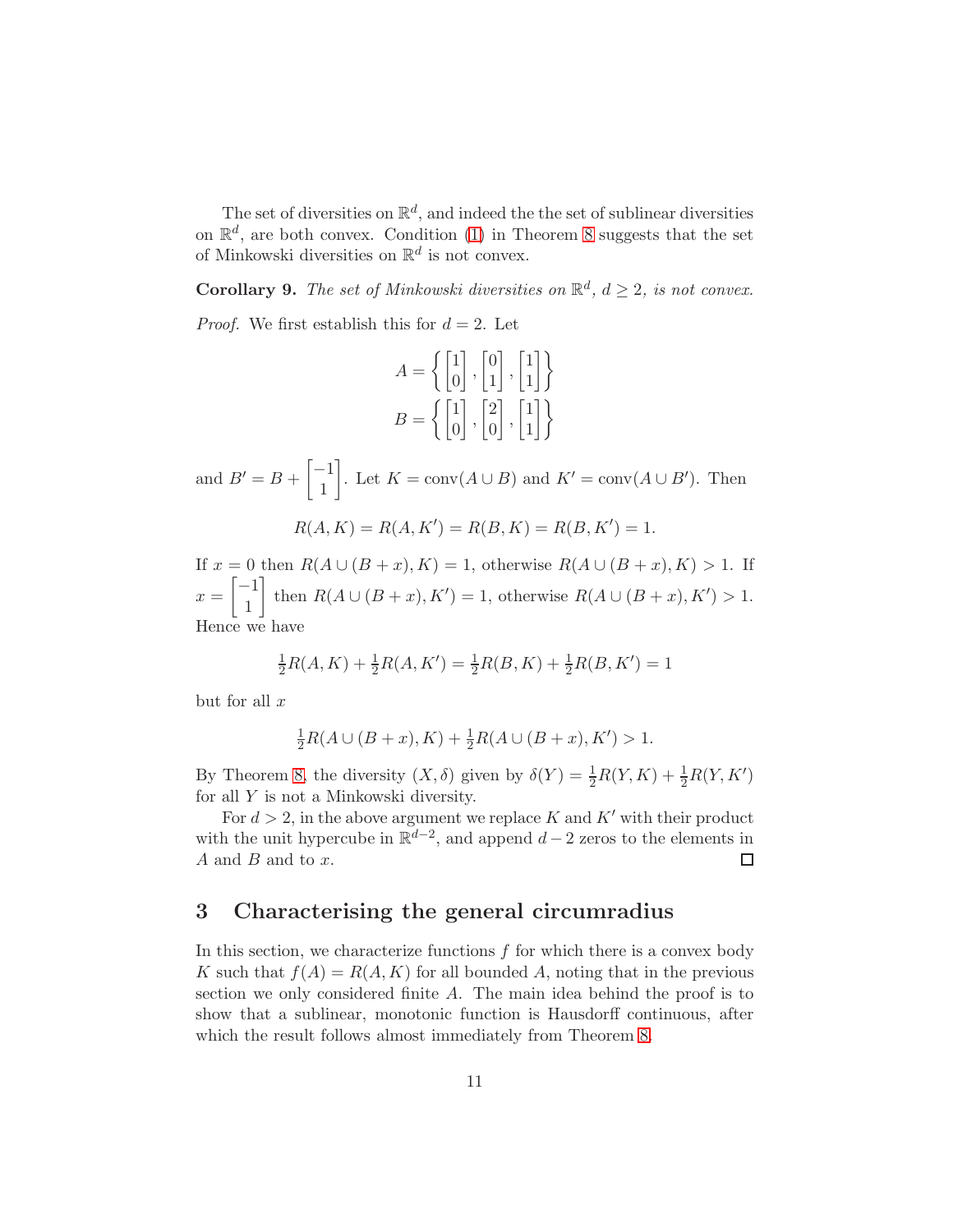The set of diversities on  $\mathbb{R}^d$ , and indeed the the set of sublinear diversities on  $\mathbb{R}^d$ , are both convex. Condition [\(1\)](#page-8-1) in Theorem [8](#page-8-0) suggests that the set of Minkowski diversities on  $\mathbb{R}^d$  is not convex.

**Corollary 9.** The set of Minkowski diversities on  $\mathbb{R}^d$ ,  $d \geq 2$ , is not convex.

*Proof.* We first establish this for  $d = 2$ . Let

$$
A = \left\{ \begin{bmatrix} 1 \\ 0 \end{bmatrix}, \begin{bmatrix} 0 \\ 1 \end{bmatrix}, \begin{bmatrix} 1 \\ 1 \end{bmatrix} \right\}
$$

$$
B = \left\{ \begin{bmatrix} 1 \\ 0 \end{bmatrix}, \begin{bmatrix} 2 \\ 0 \end{bmatrix}, \begin{bmatrix} 1 \\ 1 \end{bmatrix} \right\}
$$

and  $B'=B+\begin{bmatrix} -1\\ 1 \end{bmatrix}$ 1 . Let  $K = \text{conv}(A \cup B)$  and  $K' = \text{conv}(A \cup B')$ . Then

$$
R(A, K) = R(A, K') = R(B, K) = R(B, K') = 1.
$$

If  $x = 0$  then  $R(A \cup (B + x), K) = 1$ , otherwise  $R(A \cup (B + x), K) > 1$ . If  $x = \begin{bmatrix} -1 \\ 1 \end{bmatrix}$ 1 then  $R(A \cup (B + x), K') = 1$ , otherwise  $R(A \cup (B + x), K') > 1$ . Hence we have

$$
\frac{1}{2}R(A,K) + \frac{1}{2}R(A,K') = \frac{1}{2}R(B,K) + \frac{1}{2}R(B,K') = 1
$$

but for all  $x$ 

$$
\frac{1}{2}R(A \cup (B + x), K) + \frac{1}{2}R(A \cup (B + x), K') > 1.
$$

By Theorem [8,](#page-8-0) the diversity  $(X, \delta)$  given by  $\delta(Y) = \frac{1}{2}R(Y, K) + \frac{1}{2}R(Y, K')$ for all Y is not a Minkowski diversity.

For  $d > 2$ , in the above argument we replace K and K' with their product with the unit hypercube in  $\mathbb{R}^{d-2}$ , and append  $d-2$  zeros to the elements in  $A$  and  $B$  and to  $x$ .  $\Box$ 

### 3 Characterising the general circumradius

In this section, we characterize functions  $f$  for which there is a convex body K such that  $f(A) = R(A, K)$  for all bounded A, noting that in the previous section we only considered finite A. The main idea behind the proof is to show that a sublinear, monotonic function is Hausdorff continuous, after which the result follows almost immediately from Theorem [8.](#page-8-0)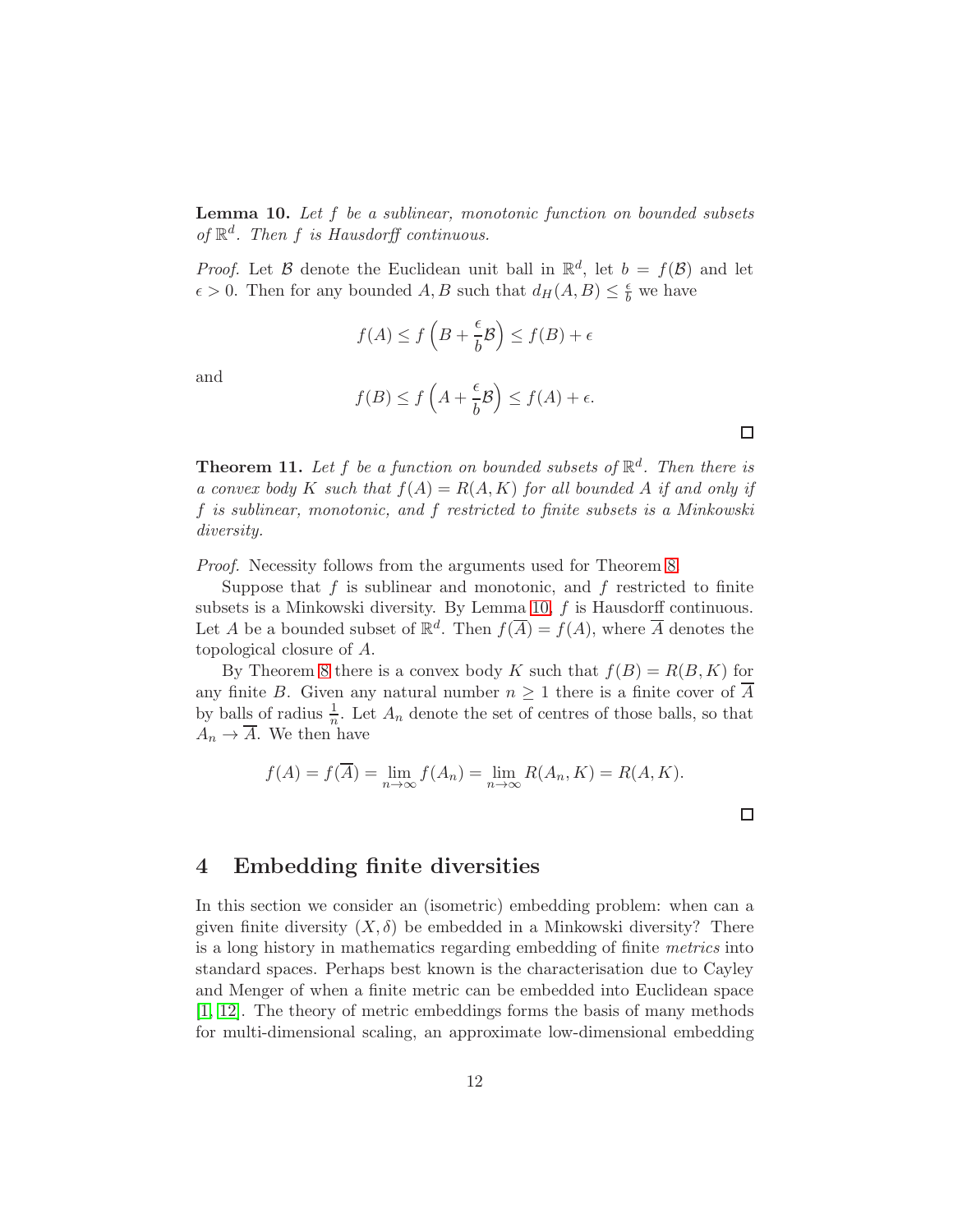<span id="page-11-0"></span>Lemma 10. Let f be a sublinear, monotonic function on bounded subsets of  $\mathbb{R}^d$ . Then f is Hausdorff continuous.

*Proof.* Let B denote the Euclidean unit ball in  $\mathbb{R}^d$ , let  $b = f(\mathcal{B})$  and let  $\epsilon > 0$ . Then for any bounded A, B such that  $d_H(A, B) \leq \frac{\epsilon}{b}$  we have

$$
f(A) \le f\left(B + \frac{\epsilon}{b}\mathcal{B}\right) \le f(B) + \epsilon
$$

and

$$
f(B) \le f\left(A + \frac{\epsilon}{b}\mathcal{B}\right) \le f(A) + \epsilon.
$$

**Theorem 11.** Let f be a function on bounded subsets of  $\mathbb{R}^d$ . Then there is a convex body K such that  $f(A) = R(A, K)$  for all bounded A if and only if f is sublinear, monotonic, and f restricted to finite subsets is a Minkowski diversity.

Proof. Necessity follows from the arguments used for Theorem [8.](#page-8-0)

Suppose that  $f$  is sublinear and monotonic, and  $f$  restricted to finite subsets is a Minkowski diversity. By Lemma [10,](#page-11-0) f is Hausdorff continuous. Let A be a bounded subset of  $\mathbb{R}^d$ . Then  $f(\overline{A}) = f(A)$ , where  $\overline{A}$  denotes the topological closure of A.

By Theorem [8](#page-8-0) there is a convex body K such that  $f(B) = R(B, K)$  for any finite B. Given any natural number  $n \geq 1$  there is a finite cover of  $\overline{A}$ by balls of radius  $\frac{1}{n}$ . Let  $A_n$  denote the set of centres of those balls, so that  $A_n \to \overline{A}$ . We then have

$$
f(A) = f(\overline{A}) = \lim_{n \to \infty} f(A_n) = \lim_{n \to \infty} R(A_n, K) = R(A, K).
$$

### 4 Embedding finite diversities

In this section we consider an (isometric) embedding problem: when can a given finite diversity  $(X, \delta)$  be embedded in a Minkowski diversity? There is a long history in mathematics regarding embedding of finite metrics into standard spaces. Perhaps best known is the characterisation due to Cayley and Menger of when a finite metric can be embedded into Euclidean space [\[1,](#page-19-5) [12\]](#page-20-11). The theory of metric embeddings forms the basis of many methods for multi-dimensional scaling, an approximate low-dimensional embedding

 $\Box$ 

 $\Box$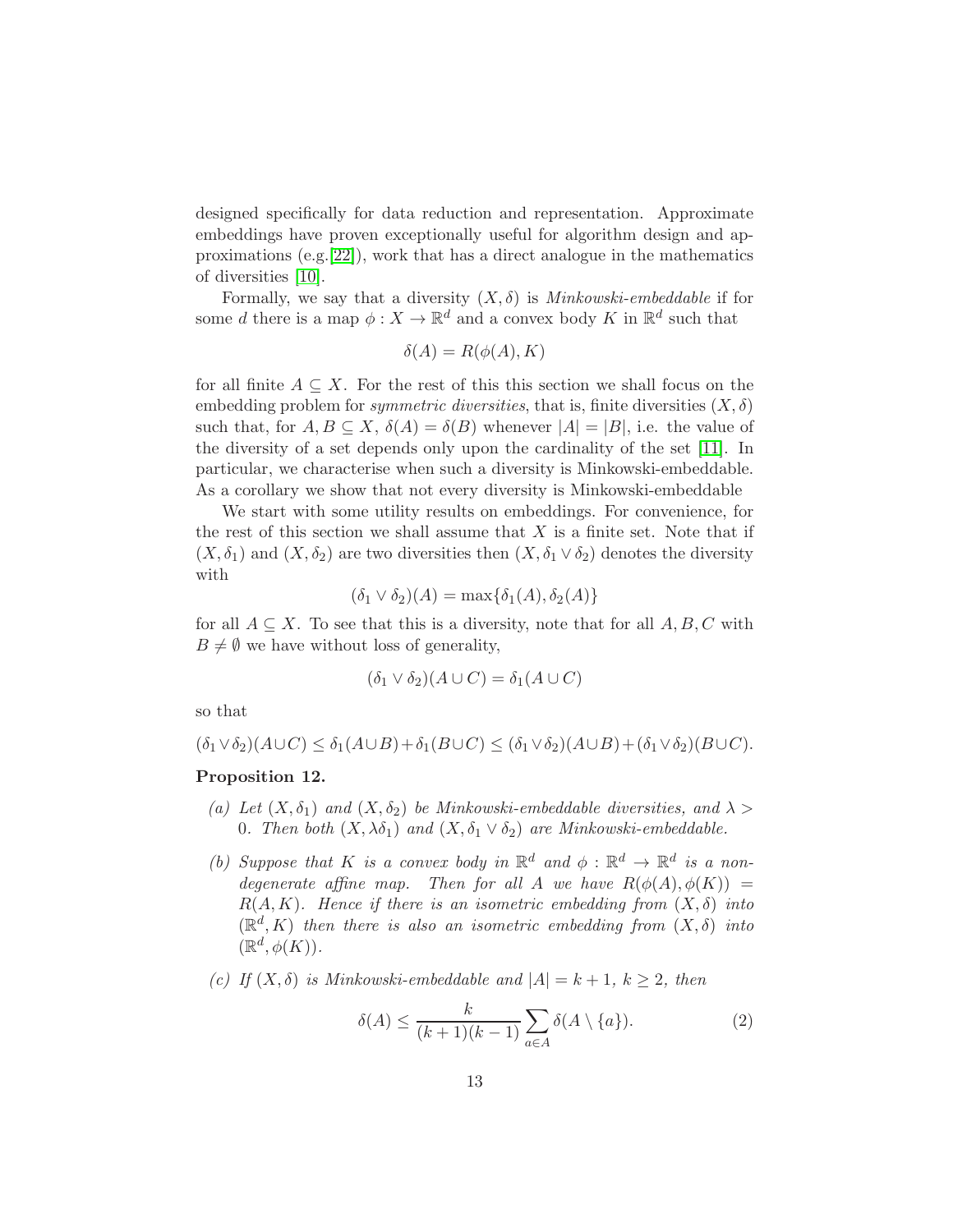designed specifically for data reduction and representation. Approximate embeddings have proven exceptionally useful for algorithm design and approximations (e.g.[\[22\]](#page-21-6)), work that has a direct analogue in the mathematics of diversities [\[10\]](#page-20-6).

Formally, we say that a diversity  $(X, \delta)$  is *Minkowski-embeddable* if for some d there is a map  $\phi: X \to \mathbb{R}^d$  and a convex body K in  $\mathbb{R}^d$  such that

$$
\delta(A) = R(\phi(A), K)
$$

for all finite  $A \subseteq X$ . For the rest of this this section we shall focus on the embedding problem for *symmetric diversities*, that is, finite diversities  $(X, \delta)$ such that, for  $A, B \subseteq X, \delta(A) = \delta(B)$  whenever  $|A| = |B|$ , i.e. the value of the diversity of a set depends only upon the cardinality of the set [\[11\]](#page-20-12). In particular, we characterise when such a diversity is Minkowski-embeddable. As a corollary we show that not every diversity is Minkowski-embeddable

We start with some utility results on embeddings. For convenience, for the rest of this section we shall assume that  $X$  is a finite set. Note that if  $(X, \delta_1)$  and  $(X, \delta_2)$  are two diversities then  $(X, \delta_1 \vee \delta_2)$  denotes the diversity with

$$
(\delta_1 \vee \delta_2)(A) = \max{\{\delta_1(A), \delta_2(A)\}}
$$

for all  $A \subseteq X$ . To see that this is a diversity, note that for all  $A, B, C$  with  $B \neq \emptyset$  we have without loss of generality,

$$
(\delta_1 \vee \delta_2)(A \cup C) = \delta_1(A \cup C)
$$

so that

 $(\delta_1 \vee \delta_2)(A \cup C) \leq \delta_1(A \cup B) + \delta_1(B \cup C) \leq (\delta_1 \vee \delta_2)(A \cup B) + (\delta_1 \vee \delta_2)(B \cup C).$ 

#### <span id="page-12-0"></span>Proposition 12.

- (a) Let  $(X, \delta_1)$  and  $(X, \delta_2)$  be Minkowski-embeddable diversities, and  $\lambda >$ 0. Then both  $(X, \lambda \delta_1)$  and  $(X, \delta_1 \vee \delta_2)$  are Minkowski-embeddable.
- (b) Suppose that K is a convex body in  $\mathbb{R}^d$  and  $\phi : \mathbb{R}^d \to \mathbb{R}^d$  is a nondegenerate affine map. Then for all A we have  $R(\phi(A), \phi(K)) =$  $R(A, K)$ . Hence if there is an isometric embedding from  $(X, \delta)$  into  $(\mathbb{R}^d, K)$  then there is also an isometric embedding from  $(X, \delta)$  into  $(\mathbb{R}^d, \phi(K)).$
- (c) If  $(X, \delta)$  is Minkowski-embeddable and  $|A| = k + 1$ ,  $k \geq 2$ , then

$$
\delta(A) \le \frac{k}{(k+1)(k-1)} \sum_{a \in A} \delta(A \setminus \{a\}). \tag{2}
$$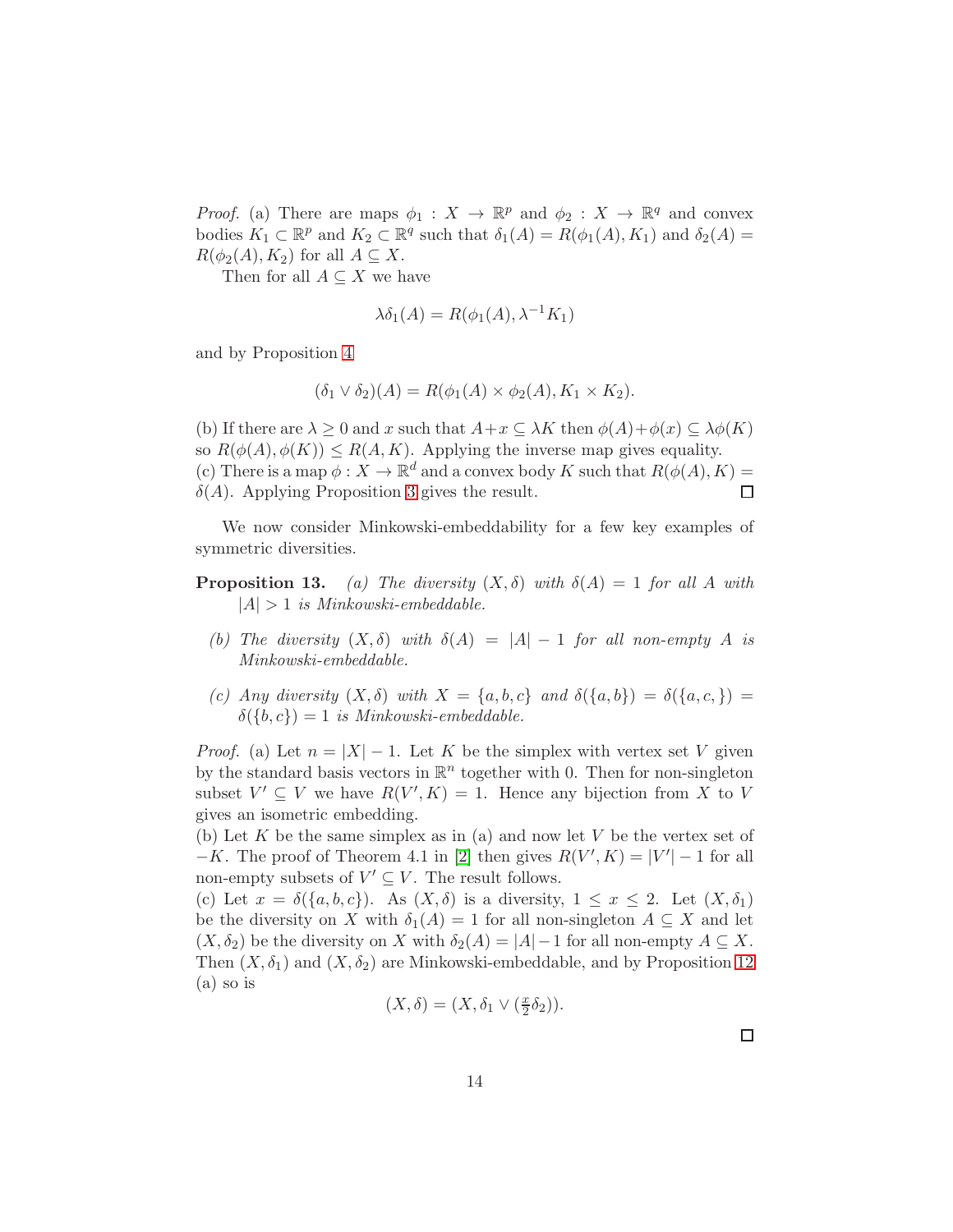*Proof.* (a) There are maps  $\phi_1: X \to \mathbb{R}^p$  and  $\phi_2: X \to \mathbb{R}^q$  and convex bodies  $K_1 \subset \mathbb{R}^p$  and  $K_2 \subset \mathbb{R}^q$  such that  $\delta_1(A) = R(\phi_1(A), K_1)$  and  $\delta_2(A) =$  $R(\phi_2(A), K_2)$  for all  $A \subseteq X$ .

Then for all  $A \subseteq X$  we have

$$
\lambda \delta_1(A) = R(\phi_1(A), \lambda^{-1}K_1)
$$

and by Proposition [4](#page-5-0)

$$
(\delta_1 \vee \delta_2)(A) = R(\phi_1(A) \times \phi_2(A), K_1 \times K_2).
$$

(b) If there are  $\lambda \geq 0$  and x such that  $A+x \subseteq \lambda K$  then  $\phi(A)+\phi(x) \subseteq \lambda \phi(K)$ so  $R(\phi(A), \phi(K)) \leq R(A, K)$ . Applying the inverse map gives equality. (c) There is a map  $\phi: X \to \mathbb{R}^d$  and a convex body K such that  $R(\phi(A), K) =$  $\delta(A)$ . Applying Proposition [3](#page-5-1) gives the result.  $\Box$ 

We now consider Minkowski-embeddability for a few key examples of symmetric diversities.

- **Proposition 13.** (a) The diversity  $(X, \delta)$  with  $\delta(A) = 1$  for all A with  $|A| > 1$  is Minkowski-embeddable.
	- (b) The diversity  $(X, \delta)$  with  $\delta(A) = |A| 1$  for all non-empty A is Minkowski-embeddable.
	- (c) Any diversity  $(X, \delta)$  with  $X = \{a, b, c\}$  and  $\delta(\{a, b\}) = \delta(\{a, c, \})$  $\delta({b, c}) = 1$  is Minkowski-embeddable.

*Proof.* (a) Let  $n = |X| - 1$ . Let K be the simplex with vertex set V given by the standard basis vectors in  $\mathbb{R}^n$  together with 0. Then for non-singleton subset  $V' \subseteq V$  we have  $R(V', K) = 1$ . Hence any bijection from X to V gives an isometric embedding.

(b) Let K be the same simplex as in (a) and now let V be the vertex set of  $-K$ . The proof of Theorem 4.1 in [\[2\]](#page-19-0) then gives  $R(V', K) = |V'| - 1$  for all non-empty subsets of  $V' \subseteq V$ . The result follows.

(c) Let  $x = \delta({a, b, c})$ . As  $(X, \delta)$  is a diversity,  $1 \le x \le 2$ . Let  $(X, \delta_1)$ be the diversity on X with  $\delta_1(A) = 1$  for all non-singleton  $A \subseteq X$  and let  $(X, \delta_2)$  be the diversity on X with  $\delta_2(A) = |A| - 1$  for all non-empty  $A \subseteq X$ . Then  $(X, \delta_1)$  and  $(X, \delta_2)$  are Minkowski-embeddable, and by Proposition [12](#page-12-0) (a) so is

$$
(X,\delta)=(X,\delta_1\vee(\tfrac{x}{2}\delta_2)).
$$

□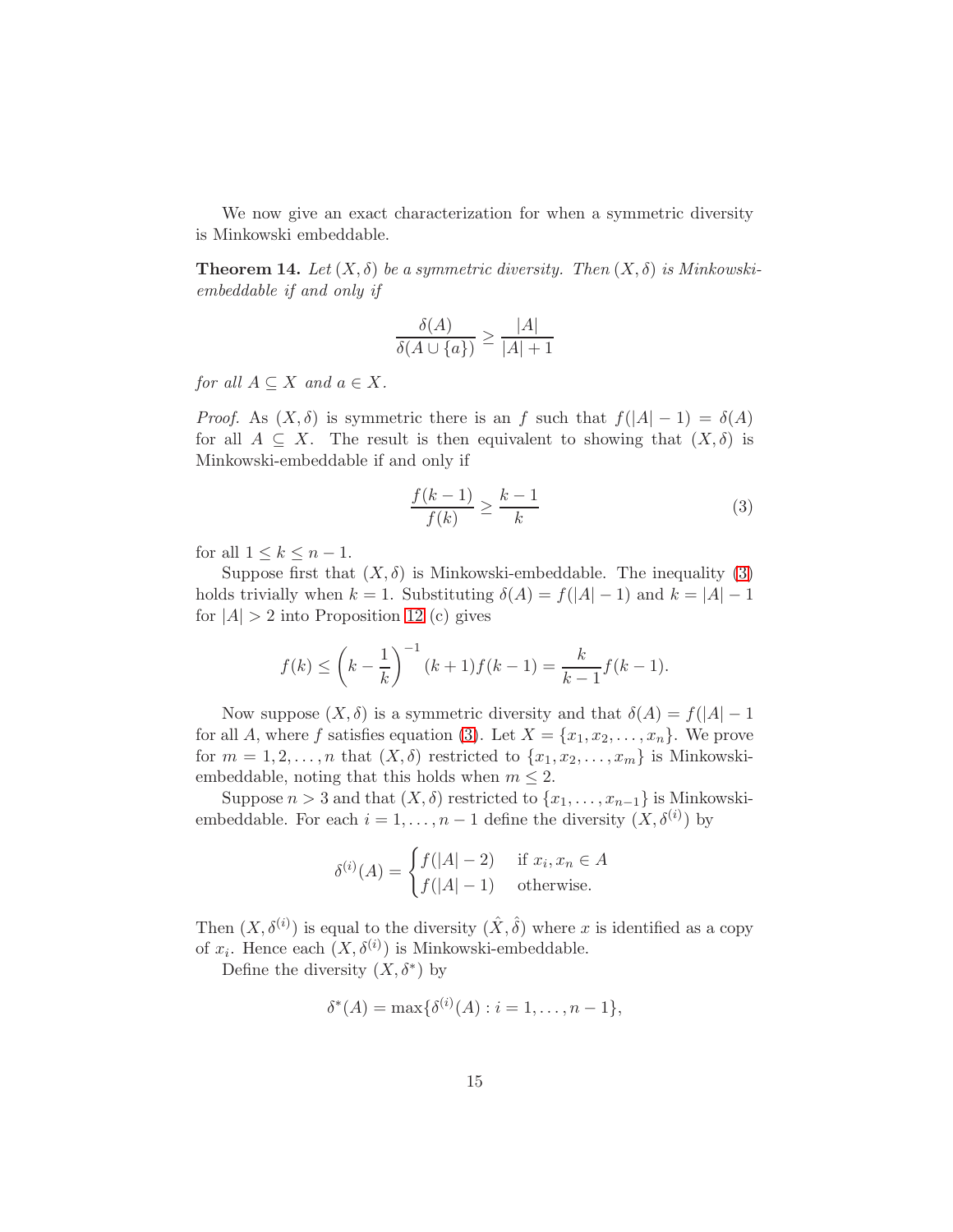We now give an exact characterization for when a symmetric diversity is Minkowski embeddable.

<span id="page-14-1"></span>**Theorem 14.** Let  $(X, \delta)$  be a symmetric diversity. Then  $(X, \delta)$  is Minkowskiembeddable if and only if

$$
\frac{\delta(A)}{\delta(A \cup \{a\})} \ge \frac{|A|}{|A|+1}
$$

for all  $A \subseteq X$  and  $a \in X$ .

*Proof.* As  $(X, \delta)$  is symmetric there is an f such that  $f(|A| - 1) = \delta(A)$ for all  $A \subseteq X$ . The result is then equivalent to showing that  $(X, \delta)$  is Minkowski-embeddable if and only if

<span id="page-14-0"></span>
$$
\frac{f(k-1)}{f(k)} \ge \frac{k-1}{k} \tag{3}
$$

for all  $1 \leq k \leq n-1$ .

Suppose first that  $(X, \delta)$  is Minkowski-embeddable. The inequality [\(3\)](#page-14-0) holds trivially when  $k = 1$ . Substituting  $\delta(A) = f(|A| - 1)$  and  $k = |A| - 1$ for  $|A| > 2$  into Proposition [12](#page-12-0) (c) gives

$$
f(k) \le \left(k - \frac{1}{k}\right)^{-1} (k+1) f(k-1) = \frac{k}{k-1} f(k-1).
$$

Now suppose  $(X, \delta)$  is a symmetric diversity and that  $\delta(A) = f(|A| - 1)$ for all A, where f satisfies equation [\(3\)](#page-14-0). Let  $X = \{x_1, x_2, \ldots, x_n\}$ . We prove for  $m = 1, 2, \ldots, n$  that  $(X, \delta)$  restricted to  $\{x_1, x_2, \ldots, x_m\}$  is Minkowskiembeddable, noting that this holds when  $m \leq 2$ .

Suppose  $n > 3$  and that  $(X, \delta)$  restricted to  $\{x_1, \ldots, x_{n-1}\}\$ is Minkowskiembeddable. For each  $i = 1, ..., n - 1$  define the diversity  $(X, \delta^{(i)})$  by

$$
\delta^{(i)}(A) = \begin{cases} f(|A| - 2) & \text{if } x_i, x_n \in A \\ f(|A| - 1) & \text{otherwise.} \end{cases}
$$

Then  $(X, \delta^{(i)})$  is equal to the diversity  $(\hat{X}, \hat{\delta})$  where x is identified as a copy of  $x_i$ . Hence each  $(X, \delta^{(i)})$  is Minkowski-embeddable.

Define the diversity  $(X, \delta^*)$  by

$$
\delta^*(A) = \max\{\delta^{(i)}(A) : i = 1, \dots, n-1\},\
$$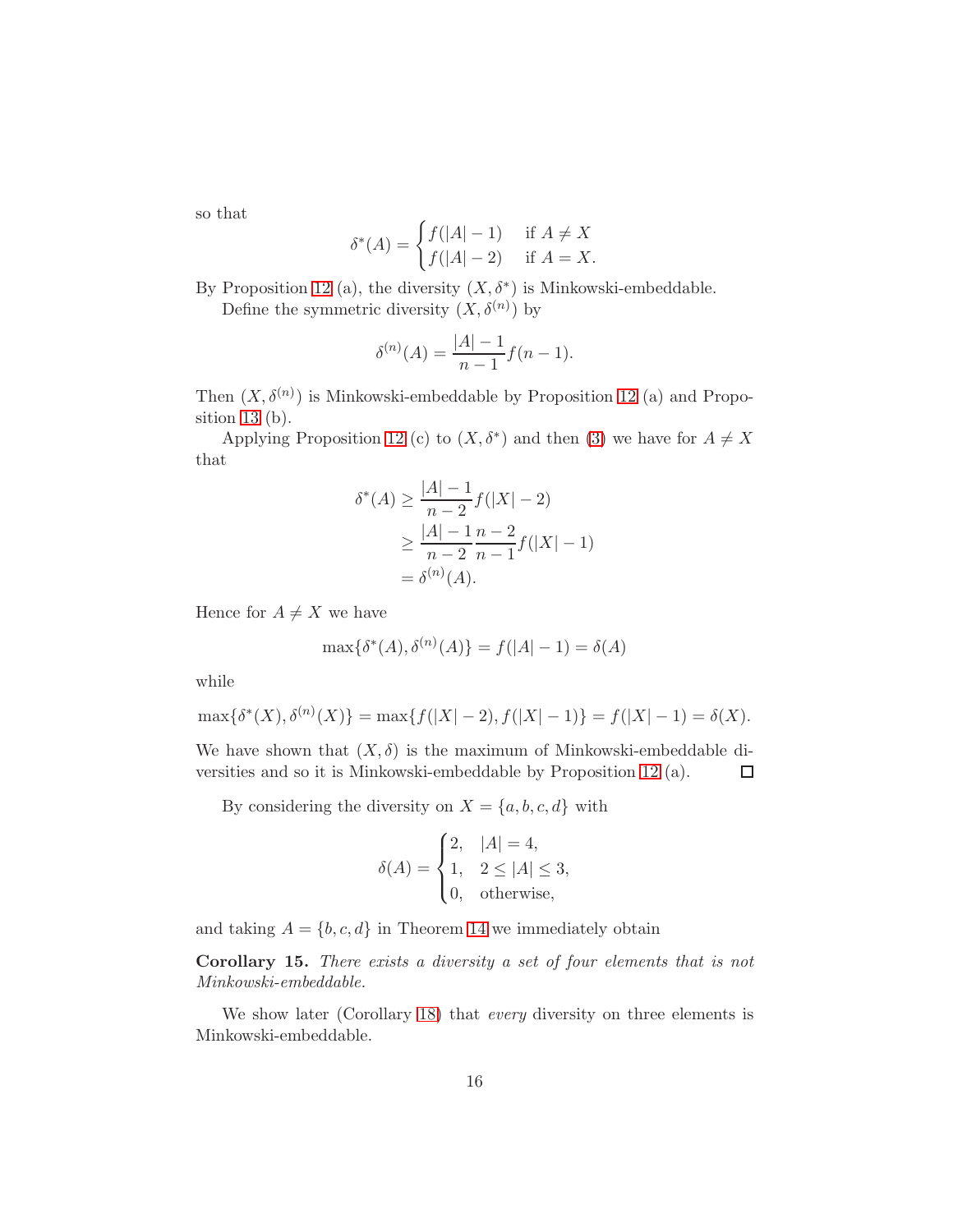so that

$$
\delta^*(A) = \begin{cases} f(|A| - 1) & \text{if } A \neq X \\ f(|A| - 2) & \text{if } A = X. \end{cases}
$$

By Proposition [12](#page-12-0) (a), the diversity  $(X, \delta^*)$  is Minkowski-embeddable.

Define the symmetric diversity  $(X, \delta^{(n)})$  by

$$
\delta^{(n)}(A) = \frac{|A| - 1}{n - 1} f(n - 1).
$$

Then  $(X, \delta^{(n)})$  is Minkowski-embeddable by Proposition [12](#page-12-0) (a) and Proposition 13 (b).

Applying Proposition [12](#page-12-0) (c) to  $(X, \delta^*)$  and then [\(3\)](#page-14-0) we have for  $A \neq X$ that

$$
\delta^*(A) \ge \frac{|A| - 1}{n - 2} f(|X| - 2)
$$
  
 
$$
\ge \frac{|A| - 1}{n - 2} \frac{n - 2}{n - 1} f(|X| - 1)
$$
  
=  $\delta^{(n)}(A)$ .

Hence for  $A \neq X$  we have

$$
\max\{\delta^*(A), \delta^{(n)}(A)\} = f(|A| - 1) = \delta(A)
$$

while

$$
\max\{\delta^*(X), \delta^{(n)}(X)\} = \max\{f(|X|-2), f(|X|-1)\} = f(|X|-1) = \delta(X).
$$

We have shown that  $(X, \delta)$  is the maximum of Minkowski-embeddable diversities and so it is Minkowski-embeddable by Proposition [12](#page-12-0) (a).  $\Box$ 

By considering the diversity on  $X = \{a, b, c, d\}$  with

$$
\delta(A) = \begin{cases} 2, & |A| = 4, \\ 1, & 2 \le |A| \le 3, \\ 0, & \text{otherwise,} \end{cases}
$$

and taking  $A = \{b, c, d\}$  in Theorem [14](#page-14-1) we immediately obtain

Corollary 15. There exists a diversity a set of four elements that is not Minkowski-embeddable.

We show later (Corollary [18\)](#page-18-0) that *every* diversity on three elements is Minkowski-embeddable.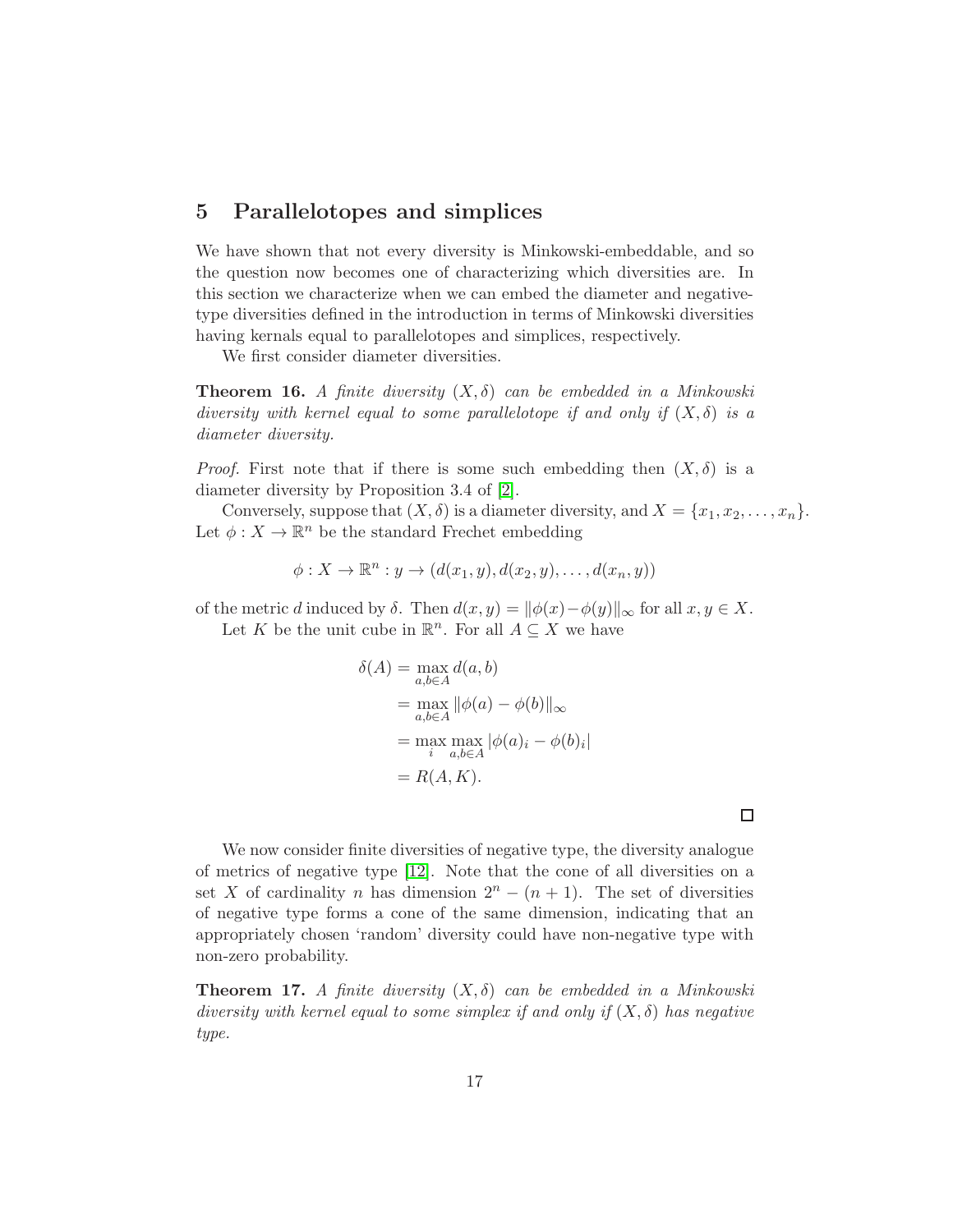# 5 Parallelotopes and simplices

We have shown that not every diversity is Minkowski-embeddable, and so the question now becomes one of characterizing which diversities are. In this section we characterize when we can embed the diameter and negativetype diversities defined in the introduction in terms of Minkowski diversities having kernals equal to parallelotopes and simplices, respectively.

We first consider diameter diversities.

**Theorem 16.** A finite diversity  $(X, \delta)$  can be embedded in a Minkowski diversity with kernel equal to some parallelotope if and only if  $(X, \delta)$  is a diameter diversity.

*Proof.* First note that if there is some such embedding then  $(X, \delta)$  is a diameter diversity by Proposition 3.4 of [\[2\]](#page-19-0).

Conversely, suppose that  $(X, \delta)$  is a diameter diversity, and  $X = \{x_1, x_2, \ldots, x_n\}.$ Let  $\phi: X \to \mathbb{R}^n$  be the standard Frechet embedding

$$
\phi: X \to \mathbb{R}^n : y \to (d(x_1, y), d(x_2, y), \dots, d(x_n, y))
$$

of the metric d induced by  $\delta$ . Then  $d(x, y) = ||\phi(x) - \phi(y)||_{\infty}$  for all  $x, y \in X$ . Let K be the unit cube in  $\mathbb{R}^n$ . For all  $A \subseteq X$  we have

$$
\delta(A) = \max_{a,b \in A} d(a,b)
$$
  
= 
$$
\max_{a,b \in A} ||\phi(a) - \phi(b)||_{\infty}
$$
  
= 
$$
\max_{i} \max_{a,b \in A} |\phi(a)_i - \phi(b)_i|
$$
  
= 
$$
R(A, K).
$$

 $\Box$ 

We now consider finite diversities of negative type, the diversity analogue of metrics of negative type [\[12\]](#page-20-11). Note that the cone of all diversities on a set X of cardinality n has dimension  $2^{n} - (n + 1)$ . The set of diversities of negative type forms a cone of the same dimension, indicating that an appropriately chosen 'random' diversity could have non-negative type with non-zero probability.

**Theorem 17.** A finite diversity  $(X, \delta)$  can be embedded in a Minkowski diversity with kernel equal to some simplex if and only if  $(X, \delta)$  has negative type.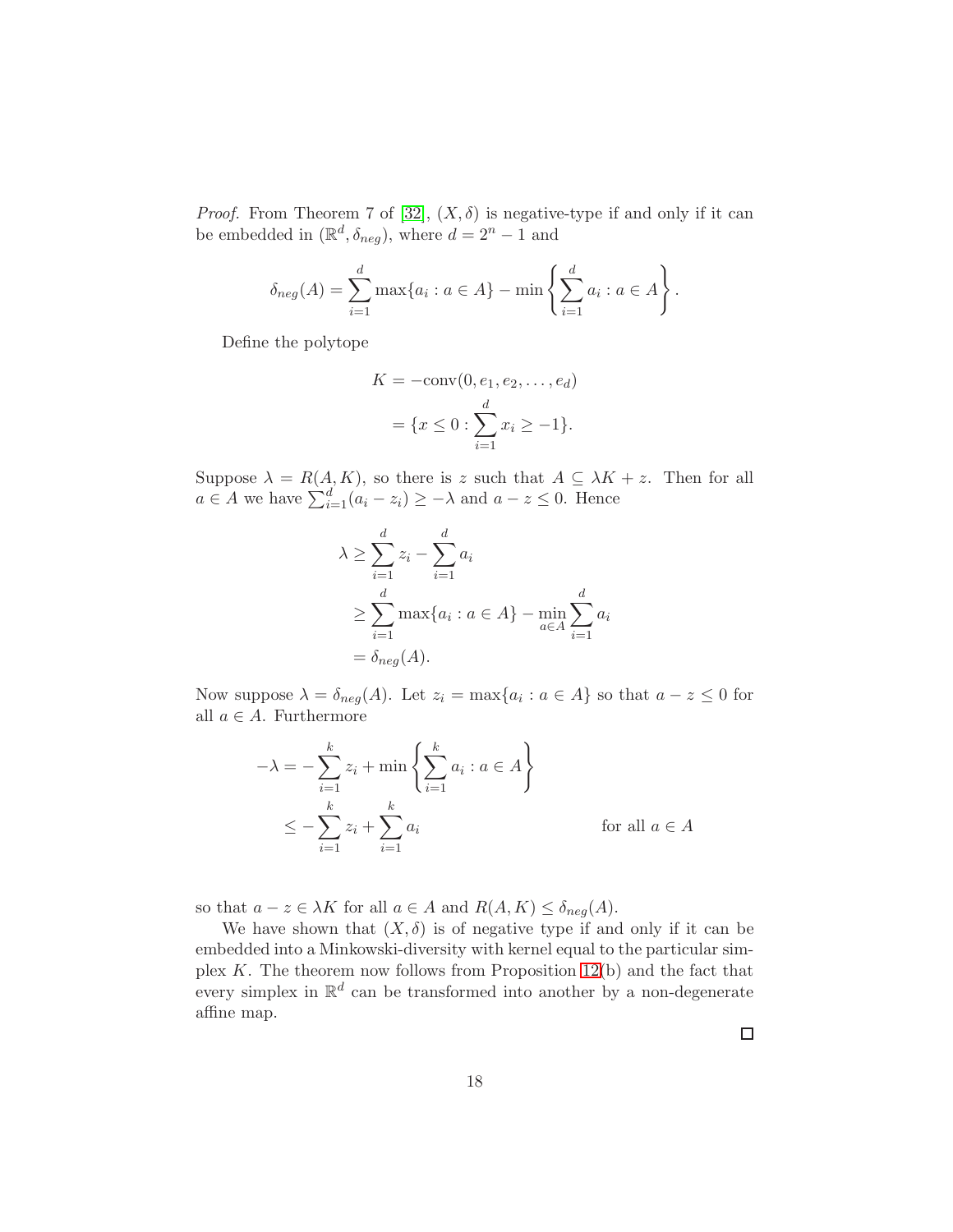*Proof.* From Theorem 7 of [\[32\]](#page-22-0),  $(X, \delta)$  is negative-type if and only if it can be embedded in  $(\mathbb{R}^d, \delta_{neg})$ , where  $d = 2^n - 1$  and

$$
\delta_{neg}(A) = \sum_{i=1}^{d} \max\{a_i : a \in A\} - \min\left\{\sum_{i=1}^{d} a_i : a \in A\right\}.
$$

Define the polytope

$$
K = -\text{conv}(0, e_1, e_2, \dots, e_d)
$$
  
=  $\{x \le 0 : \sum_{i=1}^d x_i \ge -1\}.$ 

Suppose  $\lambda = R(A, K)$ , so there is z such that  $A \subseteq \lambda K + z$ . Then for all  $a \in A$  we have  $\sum_{i=1}^{d} (a_i - z_i) \geq -\lambda$  and  $a - z \leq 0$ . Hence

$$
\lambda \ge \sum_{i=1}^d z_i - \sum_{i=1}^d a_i
$$
  
\n
$$
\ge \sum_{i=1}^d \max\{a_i : a \in A\} - \min_{a \in A} \sum_{i=1}^d a_i
$$
  
\n
$$
= \delta_{neg}(A).
$$

Now suppose  $\lambda = \delta_{neg}(A)$ . Let  $z_i = \max\{a_i : a \in A\}$  so that  $a - z \leq 0$  for all  $a \in A$ . Furthermore

$$
-\lambda = -\sum_{i=1}^{k} z_i + \min\left\{\sum_{i=1}^{k} a_i : a \in A\right\}
$$
  

$$
\leq -\sum_{i=1}^{k} z_i + \sum_{i=1}^{k} a_i \quad \text{for all } a \in A
$$

so that  $a - z \in \lambda K$  for all  $a \in A$  and  $R(A, K) \leq \delta_{neq}(A)$ .

We have shown that  $(X, \delta)$  is of negative type if and only if it can be embedded into a Minkowski-diversity with kernel equal to the particular simplex  $K$ . The theorem now follows from Proposition [12\(](#page-12-0)b) and the fact that every simplex in  $\mathbb{R}^d$  can be transformed into another by a non-degenerate affine map.

 $\Box$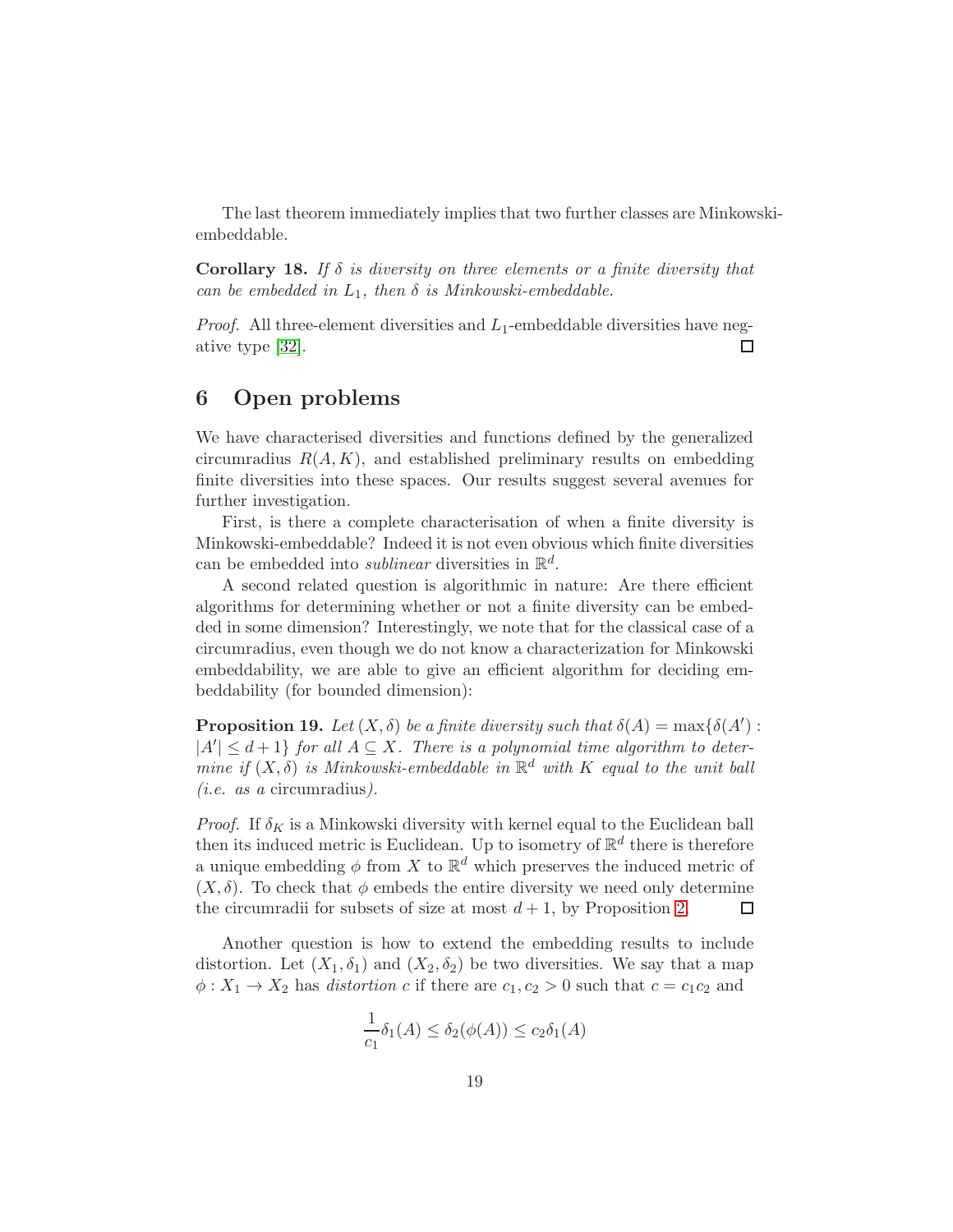The last theorem immediately implies that two further classes are Minkowskiembeddable.

<span id="page-18-0"></span>**Corollary 18.** If  $\delta$  is diversity on three elements or a finite diversity that can be embedded in  $L_1$ , then  $\delta$  is Minkowski-embeddable.

*Proof.* All three-element diversities and  $L_1$ -embeddable diversities have negative type [\[32\]](#page-22-0). П

# 6 Open problems

We have characterised diversities and functions defined by the generalized circumradius  $R(A, K)$ , and established preliminary results on embedding finite diversities into these spaces. Our results suggest several avenues for further investigation.

First, is there a complete characterisation of when a finite diversity is Minkowski-embeddable? Indeed it is not even obvious which finite diversities can be embedded into *sublinear* diversities in  $\mathbb{R}^d$ .

A second related question is algorithmic in nature: Are there efficient algorithms for determining whether or not a finite diversity can be embedded in some dimension? Interestingly, we note that for the classical case of a circumradius, even though we do not know a characterization for Minkowski embeddability, we are able to give an efficient algorithm for deciding embeddability (for bounded dimension):

**Proposition 19.** Let  $(X, \delta)$  be a finite diversity such that  $\delta(A) = \max{\delta(A')}$ :  $|A'| \leq d+1$  for all  $A \subseteq X$ . There is a polynomial time algorithm to determine if  $(X, \delta)$  is Minkowski-embeddable in  $\mathbb{R}^d$  with K equal to the unit ball (i.e. as a circumradius).

*Proof.* If  $\delta_K$  is a Minkowski diversity with kernel equal to the Euclidean ball then its induced metric is Euclidean. Up to isometry of  $\mathbb{R}^d$  there is therefore a unique embedding  $\phi$  from X to  $\mathbb{R}^d$  which preserves the induced metric of  $(X, \delta)$ . To check that  $\phi$  embeds the entire diversity we need only determine the circumradii for subsets of size at most  $d+1$ , by Proposition [2.](#page-4-1) □

Another question is how to extend the embedding results to include distortion. Let  $(X_1, \delta_1)$  and  $(X_2, \delta_2)$  be two diversities. We say that a map  $\phi: X_1 \to X_2$  has distortion c if there are  $c_1, c_2 > 0$  such that  $c = c_1 c_2$  and

$$
\frac{1}{c_1}\delta_1(A) \le \delta_2(\phi(A)) \le c_2\delta_1(A)
$$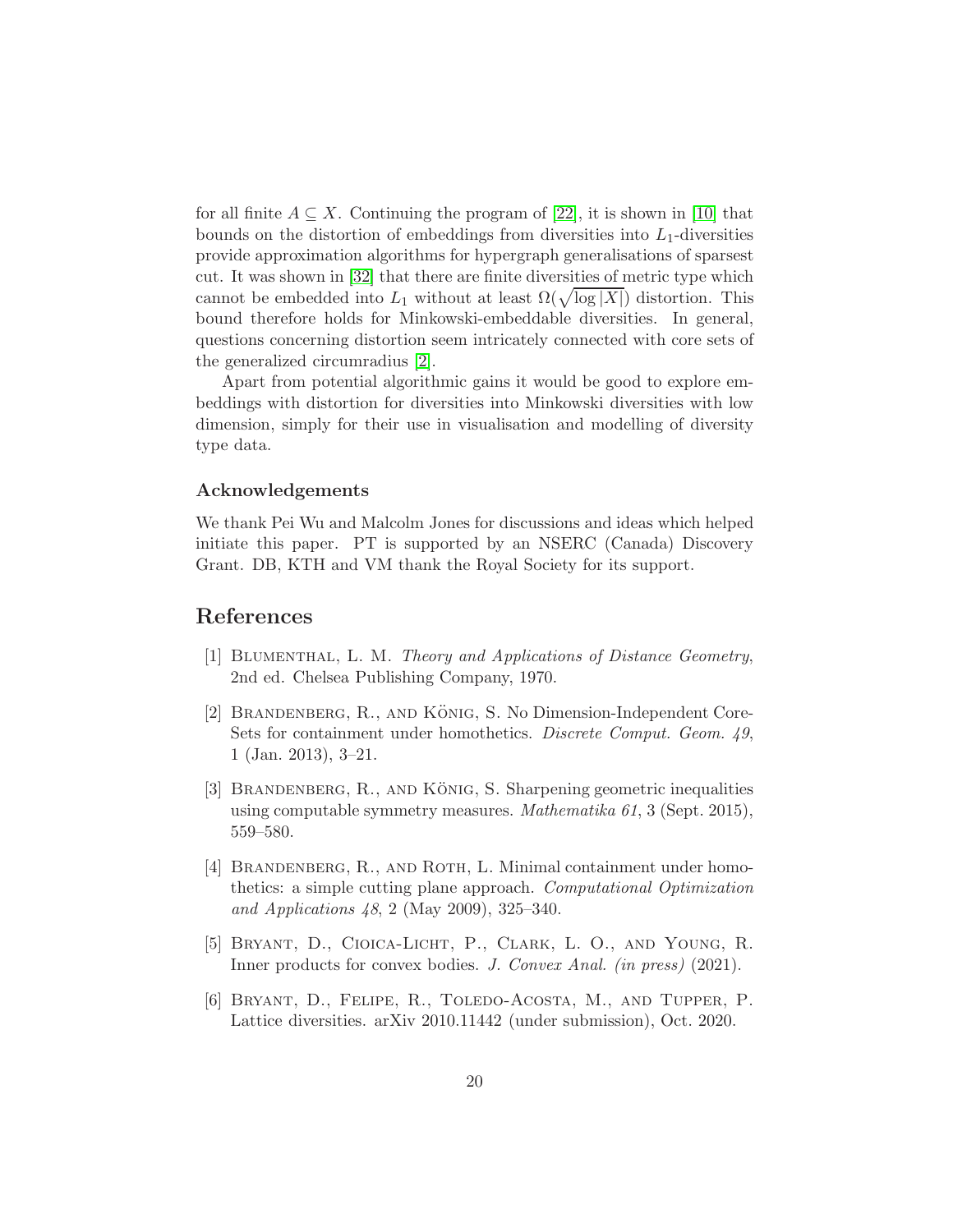for all finite  $A \subseteq X$ . Continuing the program of [\[22\]](#page-21-6), it is shown in [\[10\]](#page-20-6) that bounds on the distortion of embeddings from diversities into  $L_1$ -diversities provide approximation algorithms for hypergraph generalisations of sparsest cut. It was shown in [\[32\]](#page-22-0) that there are finite diversities of metric type which cannot be embedded into  $L_1$  without at least  $\Omega(\sqrt{\log |X|})$  distortion. This bound therefore holds for Minkowski-embeddable diversities. In general, questions concerning distortion seem intricately connected with core sets of the generalized circumradius [\[2\]](#page-19-0).

Apart from potential algorithmic gains it would be good to explore embeddings with distortion for diversities into Minkowski diversities with low dimension, simply for their use in visualisation and modelling of diversity type data.

#### Acknowledgements

We thank Pei Wu and Malcolm Jones for discussions and ideas which helped initiate this paper. PT is supported by an NSERC (Canada) Discovery Grant. DB, KTH and VM thank the Royal Society for its support.

# <span id="page-19-5"></span>References

- <span id="page-19-0"></span>[1] Blumenthal, L. M. Theory and Applications of Distance Geometry, 2nd ed. Chelsea Publishing Company, 1970.
- $[2]$  BRANDENBERG, R., AND KÖNIG, S. No Dimension-Independent Core-Sets for containment under homothetics. Discrete Comput. Geom. 49, 1 (Jan. 2013), 3–21.
- <span id="page-19-1"></span>[3] BRANDENBERG, R., AND KÖNIG, S. Sharpening geometric inequalities using computable symmetry measures. Mathematika 61, 3 (Sept. 2015), 559–580.
- <span id="page-19-2"></span>[4] BRANDENBERG, R., AND ROTH, L. Minimal containment under homothetics: a simple cutting plane approach. Computational Optimization and Applications 48, 2 (May 2009), 325–340.
- <span id="page-19-4"></span>[5] Bryant, D., Cioica-Licht, P., Clark, L. O., and Young, R. Inner products for convex bodies. J. Convex Anal. (in press) (2021).
- <span id="page-19-3"></span>[6] Bryant, D., Felipe, R., Toledo-Acosta, M., and Tupper, P. Lattice diversities. arXiv 2010.11442 (under submission), Oct. 2020.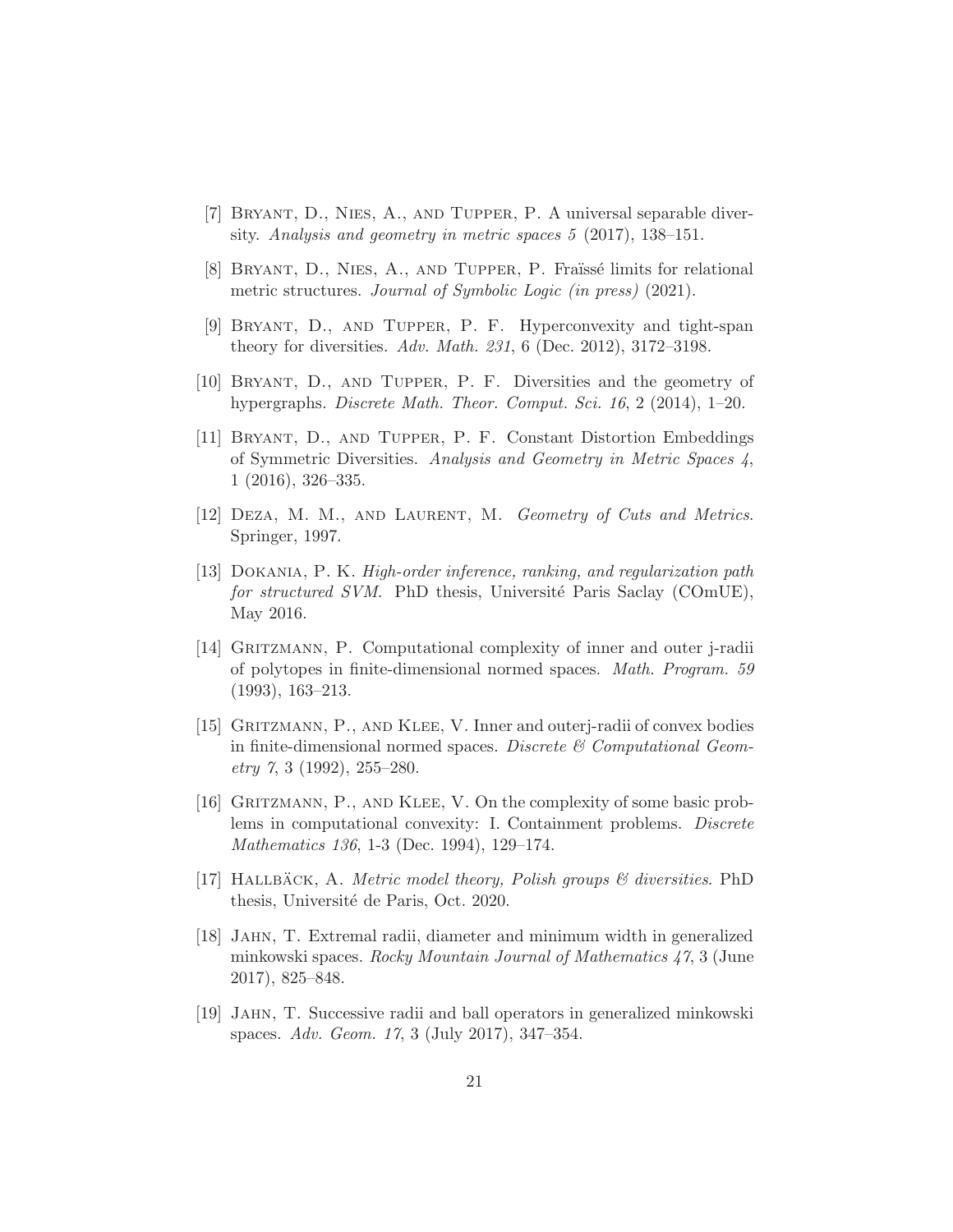- <span id="page-20-8"></span><span id="page-20-7"></span>[7] Bryant, D., Nies, A., and Tupper, P. A universal separable diversity. Analysis and geometry in metric spaces 5 (2017), 138–151.
- <span id="page-20-5"></span>[8] BRYANT, D., NIES, A., AND TUPPER, P. Fraïssé limits for relational metric structures. Journal of Symbolic Logic (in press) (2021).
- <span id="page-20-6"></span>[9] Bryant, D., and Tupper, P. F. Hyperconvexity and tight-span theory for diversities. Adv. Math. 231, 6 (Dec. 2012), 3172–3198.
- <span id="page-20-12"></span>[10] Bryant, D., and Tupper, P. F. Diversities and the geometry of hypergraphs. Discrete Math. Theor. Comput. Sci. 16, 2 (2014), 1–20.
- [11] Bryant, D., and Tupper, P. F. Constant Distortion Embeddings of Symmetric Diversities. Analysis and Geometry in Metric Spaces 4, 1 (2016), 326–335.
- <span id="page-20-11"></span><span id="page-20-10"></span>[12] DEZA, M. M., AND LAURENT, M. Geometry of Cuts and Metrics. Springer, 1997.
- [13] Dokania, P. K. High-order inference, ranking, and regularization path for structured SVM. PhD thesis, Université Paris Saclay (COmUE), May 2016.
- <span id="page-20-2"></span>[14] Gritzmann, P. Computational complexity of inner and outer j-radii of polytopes in finite-dimensional normed spaces. Math. Program. 59 (1993), 163–213.
- <span id="page-20-3"></span>[15] GRITZMANN, P., AND KLEE, V. Inner and outerj-radii of convex bodies in finite-dimensional normed spaces. Discrete  $\mathcal C$  Computational Geom- $\text{etry } 7, 3 (1992), 255-280.$
- <span id="page-20-4"></span>[16] GRITZMANN, P., AND KLEE, V. On the complexity of some basic problems in computational convexity: I. Containment problems. Discrete Mathematics 136, 1-3 (Dec. 1994), 129–174.
- <span id="page-20-9"></span>[17] HALLBÄCK, A. Metric model theory, Polish groups  $\mathcal{B}$  diversities. PhD thesis, Université de Paris, Oct. 2020.
- <span id="page-20-0"></span>[18] Jahn, T. Extremal radii, diameter and minimum width in generalized minkowski spaces. Rocky Mountain Journal of Mathematics 47, 3 (June 2017), 825–848.
- <span id="page-20-1"></span>[19] Jahn, T. Successive radii and ball operators in generalized minkowski spaces. Adv. Geom. 17, 3 (July 2017), 347–354.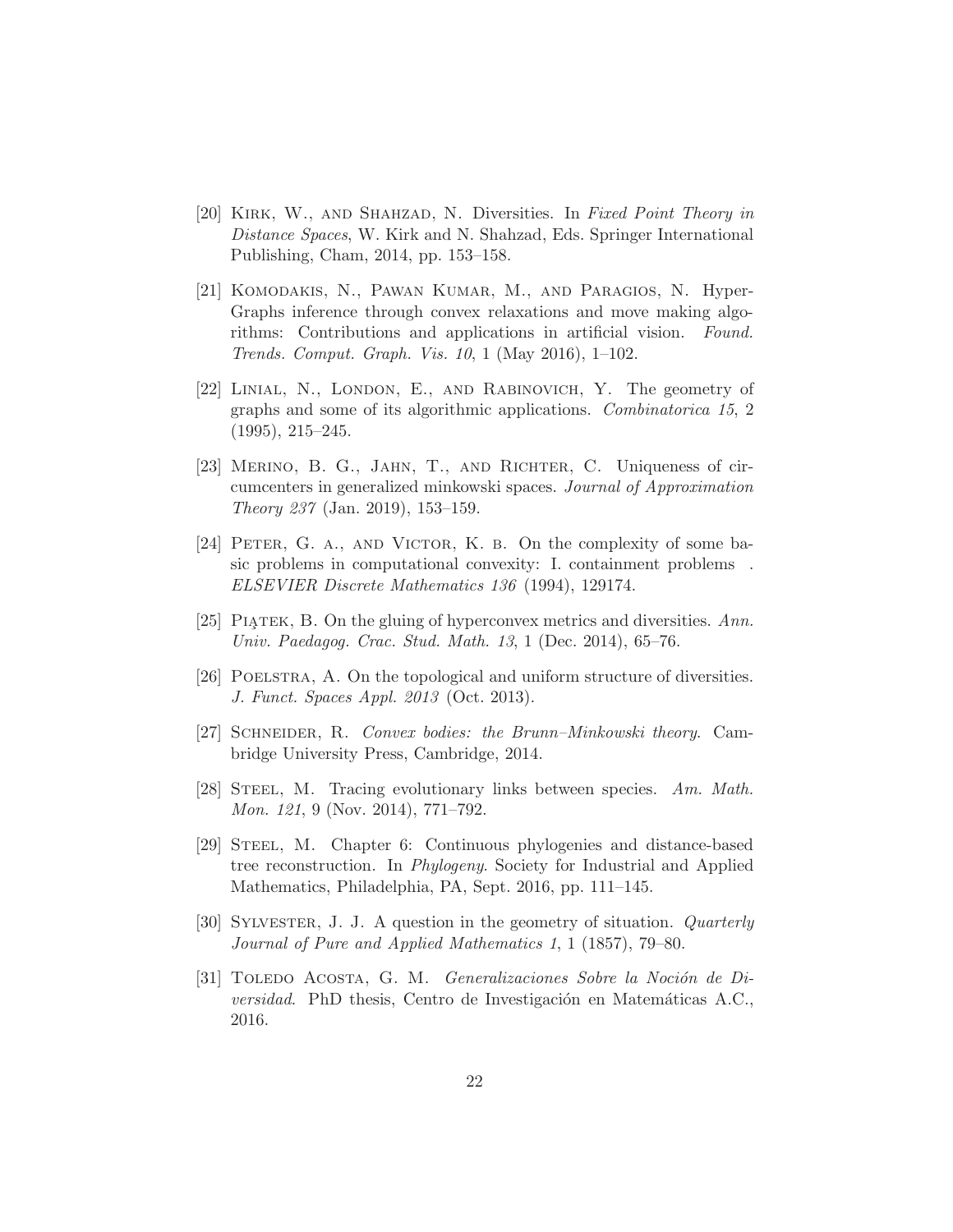- <span id="page-21-3"></span>[20] KIRK, W., AND SHAHZAD, N. Diversities. In Fixed Point Theory in Distance Spaces, W. Kirk and N. Shahzad, Eds. Springer International Publishing, Cham, 2014, pp. 153–158.
- <span id="page-21-8"></span>[21] Komodakis, N., Pawan Kumar, M., and Paragios, N. Hyper-Graphs inference through convex relaxations and move making algorithms: Contributions and applications in artificial vision. Found. Trends. Comput. Graph. Vis. 10, 1 (May 2016), 1–102.
- <span id="page-21-6"></span>[22] Linial, N., London, E., and Rabinovich, Y. The geometry of graphs and some of its algorithmic applications. Combinatorica 15, 2 (1995), 215–245.
- <span id="page-21-1"></span>[23] MERINO, B. G., JAHN, T., AND RICHTER, C. Uniqueness of circumcenters in generalized minkowski spaces. Journal of Approximation Theory 237 (Jan. 2019), 153–159.
- <span id="page-21-2"></span>[24] PETER, G. A., AND VICTOR, K. B. On the complexity of some basic problems in computational convexity: I. containment problems . ELSEVIER Discrete Mathematics 136 (1994), 129174.
- <span id="page-21-5"></span><span id="page-21-4"></span>[25] PIATEK, B. On the gluing of hyperconvex metrics and diversities.  $Ann.$ Univ. Paedagog. Crac. Stud. Math. 13, 1 (Dec. 2014), 65–76.
- <span id="page-21-11"></span>[26] Poelstra, A. On the topological and uniform structure of diversities. J. Funct. Spaces Appl. 2013 (Oct. 2013).
- <span id="page-21-9"></span>[27] Schneider, R. Convex bodies: the Brunn–Minkowski theory. Cambridge University Press, Cambridge, 2014.
- <span id="page-21-10"></span>[28] STEEL, M. Tracing evolutionary links between species. Am. Math. Mon. 121, 9 (Nov. 2014), 771–792.
- [29] STEEL, M. Chapter 6: Continuous phylogenies and distance-based tree reconstruction. In Phylogeny. Society for Industrial and Applied Mathematics, Philadelphia, PA, Sept. 2016, pp. 111–145.
- <span id="page-21-0"></span>[30] Sylvester, J. J. A question in the geometry of situation. Quarterly Journal of Pure and Applied Mathematics 1, 1 (1857), 79–80.
- <span id="page-21-7"></span>[31] TOLEDO ACOSTA, G. M. Generalizaciones Sobre la Noción de Diversidad. PhD thesis, Centro de Investigación en Matemáticas A.C., 2016.